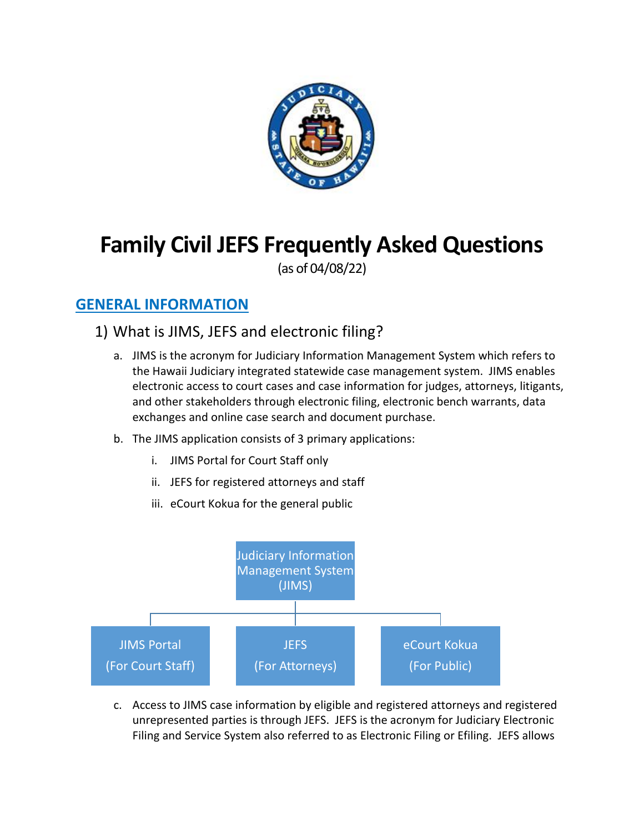

# **Family Civil JEFS Frequently Asked Questions**

(as of 04/08/22)

### **GENERAL INFORMATION**

- 1) What is JIMS, JEFS and electronic filing?
	- a. JIMS is the acronym for Judiciary Information Management System which refers to the Hawaii Judiciary integrated statewide case management system. JIMS enables electronic access to court cases and case information for judges, attorneys, litigants, and other stakeholders through electronic filing, electronic bench warrants, data exchanges and online case search and document purchase.
	- b. The JIMS application consists of 3 primary applications:
		- i. JIMS Portal for Court Staff only
		- ii. JEFS for registered attorneys and staff
		- iii. eCourt Kokua for the general public



c. Access to JIMS case information by eligible and registered attorneys and registered unrepresented parties is through JEFS. JEFS is the acronym for Judiciary Electronic Filing and Service System also referred to as Electronic Filing or Efiling. JEFS allows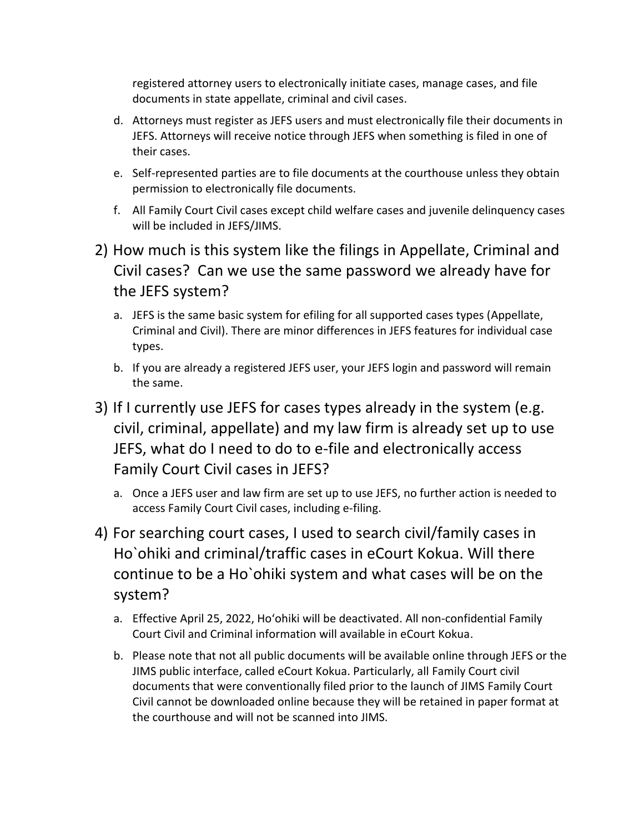registered attorney users to electronically initiate cases, manage cases, and file documents in state appellate, criminal and civil cases.

- d. Attorneys must register as JEFS users and must electronically file their documents in JEFS. Attorneys will receive notice through JEFS when something is filed in one of their cases.
- e. Self-represented parties are to file documents at the courthouse unless they obtain permission to electronically file documents.
- f. All Family Court Civil cases except child welfare cases and juvenile delinquency cases will be included in JEFS/JIMS.
- 2) How much is this system like the filings in Appellate, Criminal and Civil cases? Can we use the same password we already have for the JEFS system?
	- a. JEFS is the same basic system for efiling for all supported cases types (Appellate, Criminal and Civil). There are minor differences in JEFS features for individual case types.
	- b. If you are already a registered JEFS user, your JEFS login and password will remain the same.
- 3) If I currently use JEFS for cases types already in the system (e.g. civil, criminal, appellate) and my law firm is already set up to use JEFS, what do I need to do to e-file and electronically access Family Court Civil cases in JEFS?
	- a. Once a JEFS user and law firm are set up to use JEFS, no further action is needed to access Family Court Civil cases, including e-filing.
- 4) For searching court cases, I used to search civil/family cases in Ho`ohiki and criminal/traffic cases in eCourt Kokua. Will there continue to be a Ho`ohiki system and what cases will be on the system?
	- a. Effective April 25, 2022, Ho'ohiki will be deactivated. All non-confidential Family Court Civil and Criminal information will available in eCourt Kokua.
	- b. Please note that not all public documents will be available online through JEFS or the JIMS public interface, called eCourt Kokua. Particularly, all Family Court civil documents that were conventionally filed prior to the launch of JIMS Family Court Civil cannot be downloaded online because they will be retained in paper format at the courthouse and will not be scanned into JIMS.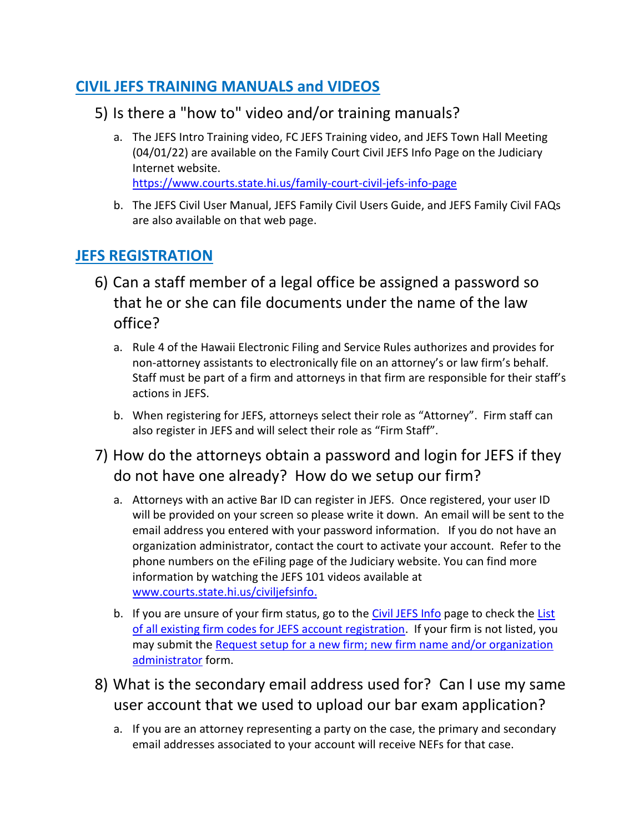### **CIVIL JEFS TRAINING MANUALS and VIDEOS**

- 5) Is there a "how to" video and/or training manuals?
	- a. The JEFS Intro Training video, FC JEFS Training video, and JEFS Town Hall Meeting (04/01/22) are available on the Family Court Civil JEFS Info Page on the Judiciary Internet website. [https://www.courts.state.hi.us/family-court-civil-jefs-info-page](https://www.courts.state.hi.us/family-court-civil-jefs-info-page.)
	- b. The JEFS Civil User Manual, JEFS Family Civil Users Guide, and JEFS Family Civil FAQs are also available on that web page.

### **JEFS REGISTRATION**

- 6) Can a staff member of a legal office be assigned a password so that he or she can file documents under the name of the law office?
	- a. Rule 4 of the Hawaii Electronic Filing and Service Rules authorizes and provides for non-attorney assistants to electronically file on an attorney's or law firm's behalf. Staff must be part of a firm and attorneys in that firm are responsible for their staff's actions in JEFS.
	- b. When registering for JEFS, attorneys select their role as "Attorney". Firm staff can also register in JEFS and will select their role as "Firm Staff".
- 7) How do the attorneys obtain a password and login for JEFS if they do not have one already? How do we setup our firm?
	- a. Attorneys with an active Bar ID can register in JEFS. Once registered, your user ID will be provided on your screen so please write it down. An email will be sent to the email address you entered with your password information. If you do not have an organization administrator, contact the court to activate your account. Refer to the phone numbers on the eFiling page of the Judiciary website. You can find more information by watching the JEFS 101 videos available at [www.courts.state.hi.us/civiljefsinfo.](http://www.courts.state.hi.us/civiljefsinfo)
	- b. If you are unsure of your firm status, go to the [Civil JEFS Info](https://www.courts.state.hi.us/civiljefsinfo) page to check the List [of all existing firm codes for JEFS account registration.](https://www.courts.state.hi.us/wp-content/uploads/2021/09/jims_firm_list.pdf) If your firm is not listed, you may submit the Request setup for a new firm; new firm name and/or organization [administrator](https://www.courts.state.hi.us/wp-content/uploads/2019/08/JEFS-Org-Admin-Form-2019.pdf) form.
- 8) What is the secondary email address used for? Can I use my same user account that we used to upload our bar exam application?
	- a. If you are an attorney representing a party on the case, the primary and secondary email addresses associated to your account will receive NEFs for that case.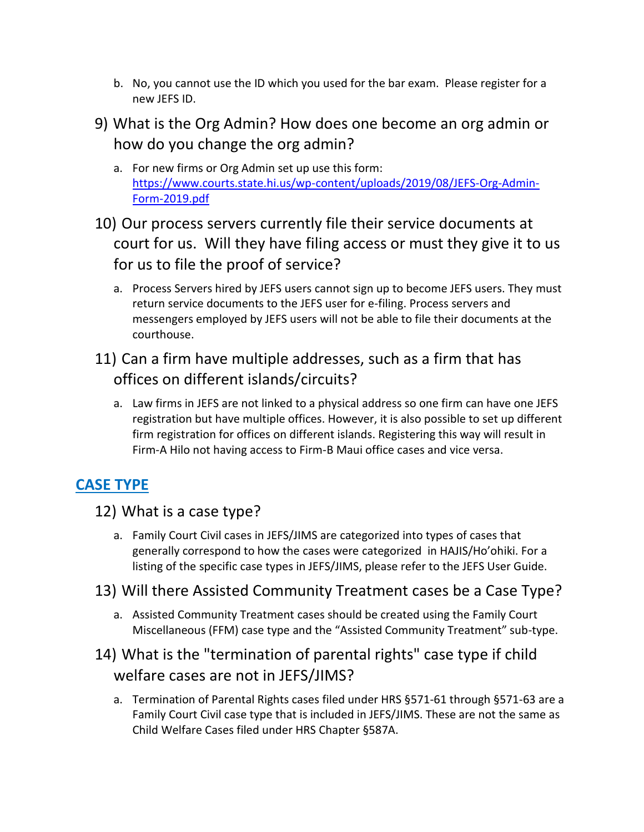- b. No, you cannot use the ID which you used for the bar exam. Please register for a new JEFS ID.
- 9) What is the Org Admin? How does one become an org admin or how do you change the org admin?
	- a. For new firms or Org Admin set up use this form: [https://www.courts.state.hi.us/wp-content/uploads/2019/08/JEFS-Org-Admin-](https://www.courts.state.hi.us/wp-content/uploads/2019/08/JEFS-Org-Admin-Form-2019.pdf)[Form-2019.pdf](https://www.courts.state.hi.us/wp-content/uploads/2019/08/JEFS-Org-Admin-Form-2019.pdf)
- 10) Our process servers currently file their service documents at court for us. Will they have filing access or must they give it to us for us to file the proof of service?
	- a. Process Servers hired by JEFS users cannot sign up to become JEFS users. They must return service documents to the JEFS user for e-filing. Process servers and messengers employed by JEFS users will not be able to file their documents at the courthouse.
- 11) Can a firm have multiple addresses, such as a firm that has offices on different islands/circuits?
	- a. Law firms in JEFS are not linked to a physical address so one firm can have one JEFS registration but have multiple offices. However, it is also possible to set up different firm registration for offices on different islands. Registering this way will result in Firm-A Hilo not having access to Firm-B Maui office cases and vice versa.

# **CASE TYPE**

- 12) What is a case type?
	- a. Family Court Civil cases in JEFS/JIMS are categorized into types of cases that generally correspond to how the cases were categorized in HAJIS/Ho'ohiki. For a listing of the specific case types in JEFS/JIMS, please refer to the JEFS User Guide.
- 13) Will there Assisted Community Treatment cases be a Case Type?
	- a. Assisted Community Treatment cases should be created using the Family Court Miscellaneous (FFM) case type and the "Assisted Community Treatment" sub-type.

# 14) What is the "termination of parental rights" case type if child welfare cases are not in JEFS/JIMS?

a. Termination of Parental Rights cases filed under HRS §571-61 through §571-63 are a Family Court Civil case type that is included in JEFS/JIMS. These are not the same as Child Welfare Cases filed under HRS Chapter §587A.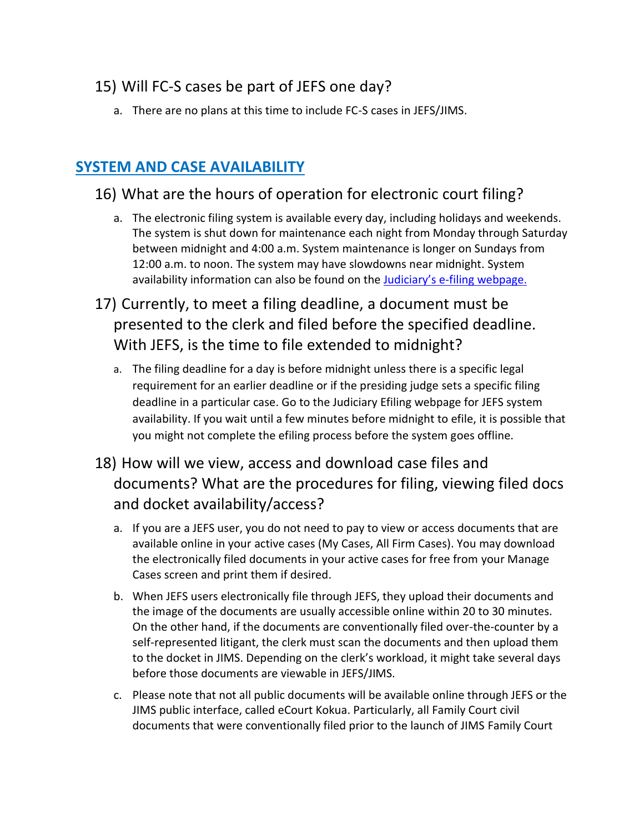### 15) Will FC-S cases be part of JEFS one day?

a. There are no plans at this time to include FC-S cases in JEFS/JIMS.

### **SYSTEM AND CASE AVAILABILITY**

### 16) What are the hours of operation for electronic court filing?

- a. The electronic filing system is available every day, including holidays and weekends. The system is shut down for maintenance each night from Monday through Saturday between midnight and 4:00 a.m. System maintenance is longer on Sundays from 12:00 a.m. to noon. The system may have slowdowns near midnight. System availability information can also be found on the Judiciary's e[-filing webpage.](https://www.courts.state.hi.us/legal_references/efiling)
- 17) Currently, to meet a filing deadline, a document must be presented to the clerk and filed before the specified deadline. With JEFS, is the time to file extended to midnight?
	- a. The filing deadline for a day is before midnight unless there is a specific legal requirement for an earlier deadline or if the presiding judge sets a specific filing deadline in a particular case. Go to the Judiciary Efiling webpage for JEFS system availability. If you wait until a few minutes before midnight to efile, it is possible that you might not complete the efiling process before the system goes offline.
- 18) How will we view, access and download case files and documents? What are the procedures for filing, viewing filed docs and docket availability/access?
	- a. If you are a JEFS user, you do not need to pay to view or access documents that are available online in your active cases (My Cases, All Firm Cases). You may download the electronically filed documents in your active cases for free from your Manage Cases screen and print them if desired.
	- b. When JEFS users electronically file through JEFS, they upload their documents and the image of the documents are usually accessible online within 20 to 30 minutes. On the other hand, if the documents are conventionally filed over-the-counter by a self-represented litigant, the clerk must scan the documents and then upload them to the docket in JIMS. Depending on the clerk's workload, it might take several days before those documents are viewable in JEFS/JIMS.
	- c. Please note that not all public documents will be available online through JEFS or the JIMS public interface, called eCourt Kokua. Particularly, all Family Court civil documents that were conventionally filed prior to the launch of JIMS Family Court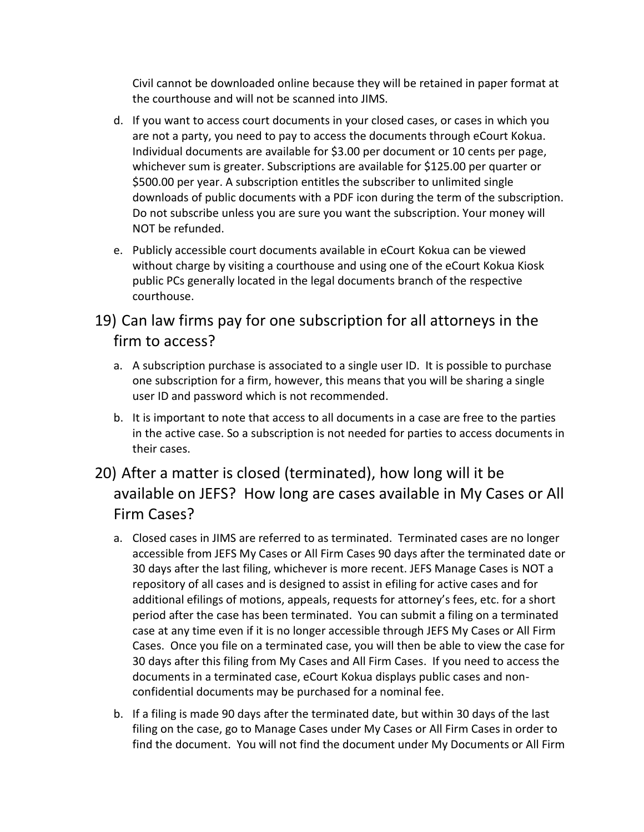Civil cannot be downloaded online because they will be retained in paper format at the courthouse and will not be scanned into JIMS.

- d. If you want to access court documents in your closed cases, or cases in which you are not a party, you need to pay to access the documents through eCourt Kokua. Individual documents are available for \$3.00 per document or 10 cents per page, whichever sum is greater. Subscriptions are available for \$125.00 per quarter or \$500.00 per year. A subscription entitles the subscriber to unlimited single downloads of public documents with a PDF icon during the term of the subscription. Do not subscribe unless you are sure you want the subscription. Your money will NOT be refunded.
- e. Publicly accessible court documents available in eCourt Kokua can be viewed without charge by visiting a courthouse and using one of the eCourt Kokua Kiosk public PCs generally located in the legal documents branch of the respective courthouse.

### 19) Can law firms pay for one subscription for all attorneys in the firm to access?

- a. A subscription purchase is associated to a single user ID. It is possible to purchase one subscription for a firm, however, this means that you will be sharing a single user ID and password which is not recommended.
- b. It is important to note that access to all documents in a case are free to the parties in the active case. So a subscription is not needed for parties to access documents in their cases.

# 20) After a matter is closed (terminated), how long will it be available on JEFS? How long are cases available in My Cases or All Firm Cases?

- a. Closed cases in JIMS are referred to as terminated. Terminated cases are no longer accessible from JEFS My Cases or All Firm Cases 90 days after the terminated date or 30 days after the last filing, whichever is more recent. JEFS Manage Cases is NOT a repository of all cases and is designed to assist in efiling for active cases and for additional efilings of motions, appeals, requests for attorney's fees, etc. for a short period after the case has been terminated. You can submit a filing on a terminated case at any time even if it is no longer accessible through JEFS My Cases or All Firm Cases. Once you file on a terminated case, you will then be able to view the case for 30 days after this filing from My Cases and All Firm Cases. If you need to access the documents in a terminated case, eCourt Kokua displays public cases and nonconfidential documents may be purchased for a nominal fee.
- b. If a filing is made 90 days after the terminated date, but within 30 days of the last filing on the case, go to Manage Cases under My Cases or All Firm Cases in order to find the document. You will not find the document under My Documents or All Firm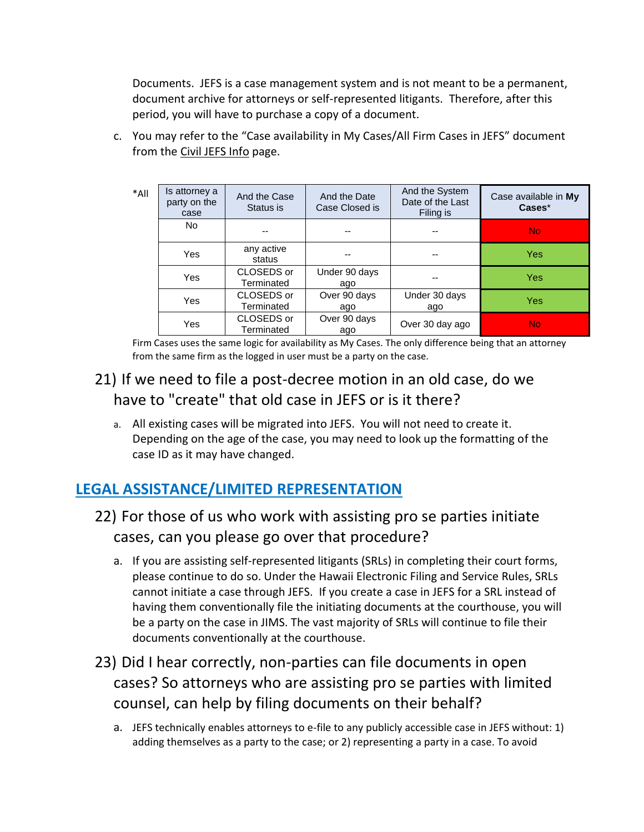Documents. JEFS is a case management system and is not meant to be a permanent, document archive for attorneys or self-represented litigants. Therefore, after this period, you will have to purchase a copy of a document.

- \*All Is attorney a party on the case And the Case Status is And the Date Case Closed is And the System Date of the Last Filing is Case available in **My Cases**\* No -- -- -- No Yes any active<br>status status -- - - - - - Yes<br>status -- - - - - - - Yes Yes CLOSEDS or Terminated Under 90 days ago -- Yes Yes | CLOSEDS or Terminated Over 90 days ago Under 30 days ago Yes Yes CLOSEDS or Terminated Over 90 days ago Over 30 day ago  $\sqrt{ }$  No
- c. You may refer to the "Case availability in My Cases/All Firm Cases in JEFS" document from the [Civil JEFS Info](https://www.courts.state.hi.us/civiljefsinfo) page.

Firm Cases uses the same logic for availability as My Cases. The only difference being that an attorney from the same firm as the logged in user must be a party on the case.

### 21) If we need to file a post-decree motion in an old case, do we have to "create" that old case in JEFS or is it there?

a. All existing cases will be migrated into JEFS. You will not need to create it. Depending on the age of the case, you may need to look up the formatting of the case ID as it may have changed.

# **LEGAL ASSISTANCE/LIMITED REPRESENTATION**

- 22) For those of us who work with assisting pro se parties initiate cases, can you please go over that procedure?
	- a. If you are assisting self-represented litigants (SRLs) in completing their court forms, please continue to do so. Under the Hawaii Electronic Filing and Service Rules, SRLs cannot initiate a case through JEFS. If you create a case in JEFS for a SRL instead of having them conventionally file the initiating documents at the courthouse, you will be a party on the case in JIMS. The vast majority of SRLs will continue to file their documents conventionally at the courthouse.
- 23) Did I hear correctly, non-parties can file documents in open cases? So attorneys who are assisting pro se parties with limited counsel, can help by filing documents on their behalf?
	- a. JEFS technically enables attorneys to e-file to any publicly accessible case in JEFS without: 1) adding themselves as a party to the case; or 2) representing a party in a case. To avoid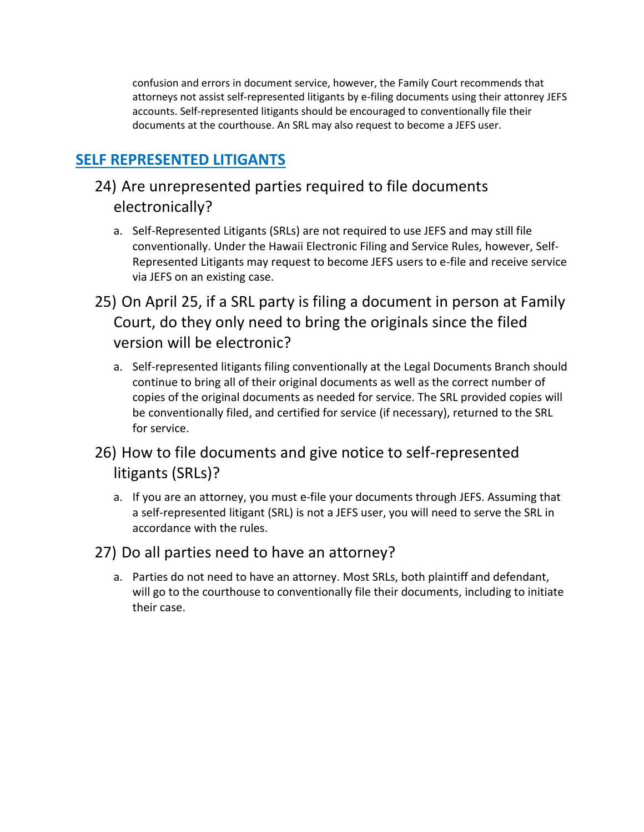confusion and errors in document service, however, the Family Court recommends that attorneys not assist self-represented litigants by e-filing documents using their attonrey JEFS accounts. Self-represented litigants should be encouraged to conventionally file their documents at the courthouse. An SRL may also request to become a JEFS user.

### **SELF REPRESENTED LITIGANTS**

### 24) Are unrepresented parties required to file documents electronically?

- a. Self-Represented Litigants (SRLs) are not required to use JEFS and may still file conventionally. Under the Hawaii Electronic Filing and Service Rules, however, Self-Represented Litigants may request to become JEFS users to e-file and receive service via JEFS on an existing case.
- 25) On April 25, if a SRL party is filing a document in person at Family Court, do they only need to bring the originals since the filed version will be electronic?
	- a. Self-represented litigants filing conventionally at the Legal Documents Branch should continue to bring all of their original documents as well as the correct number of copies of the original documents as needed for service. The SRL provided copies will be conventionally filed, and certified for service (if necessary), returned to the SRL for service.
- 26) How to file documents and give notice to self-represented litigants (SRLs)?
	- a. If you are an attorney, you must e-file your documents through JEFS. Assuming that a self-represented litigant (SRL) is not a JEFS user, you will need to serve the SRL in accordance with the rules.

#### 27) Do all parties need to have an attorney?

a. Parties do not need to have an attorney. Most SRLs, both plaintiff and defendant, will go to the courthouse to conventionally file their documents, including to initiate their case.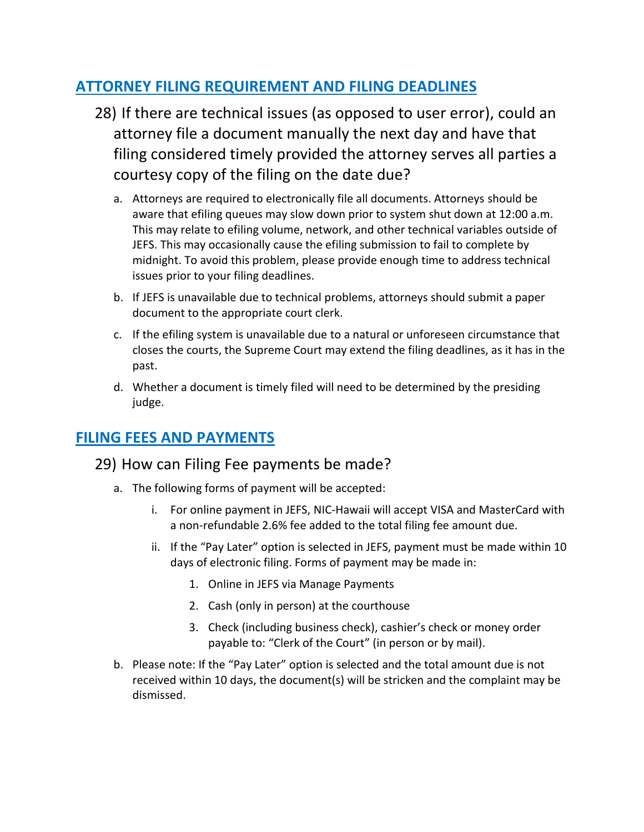### **ATTORNEY FILING REQUIREMENT AND FILING DEADLINES**

- 28) If there are technical issues (as opposed to user error), could an attorney file a document manually the next day and have that filing considered timely provided the attorney serves all parties a courtesy copy of the filing on the date due?
	- a. Attorneys are required to electronically file all documents. Attorneys should be aware that efiling queues may slow down prior to system shut down at 12:00 a.m. This may relate to efiling volume, network, and other technical variables outside of JEFS. This may occasionally cause the efiling submission to fail to complete by midnight. To avoid this problem, please provide enough time to address technical issues prior to your filing deadlines.
	- b. If JEFS is unavailable due to technical problems, attorneys should submit a paper document to the appropriate court clerk.
	- c. If the efiling system is unavailable due to a natural or unforeseen circumstance that closes the courts, the Supreme Court may extend the filing deadlines, as it has in the past.
	- d. Whether a document is timely filed will need to be determined by the presiding judge.

### **FILING FEES AND PAYMENTS**

#### 29) How can Filing Fee payments be made?

- a. The following forms of payment will be accepted:
	- i. For online payment in JEFS, NIC-Hawaii will accept VISA and MasterCard with a non-refundable 2.6% fee added to the total filing fee amount due.
	- ii. If the "Pay Later" option is selected in JEFS, payment must be made within 10 days of electronic filing. Forms of payment may be made in:
		- 1. Online in JEFS via Manage Payments
		- 2. Cash (only in person) at the courthouse
		- 3. Check (including business check), cashier's check or money order payable to: "Clerk of the Court" (in person or by mail).
- b. Please note: If the "Pay Later" option is selected and the total amount due is not received within 10 days, the document(s) will be stricken and the complaint may be dismissed.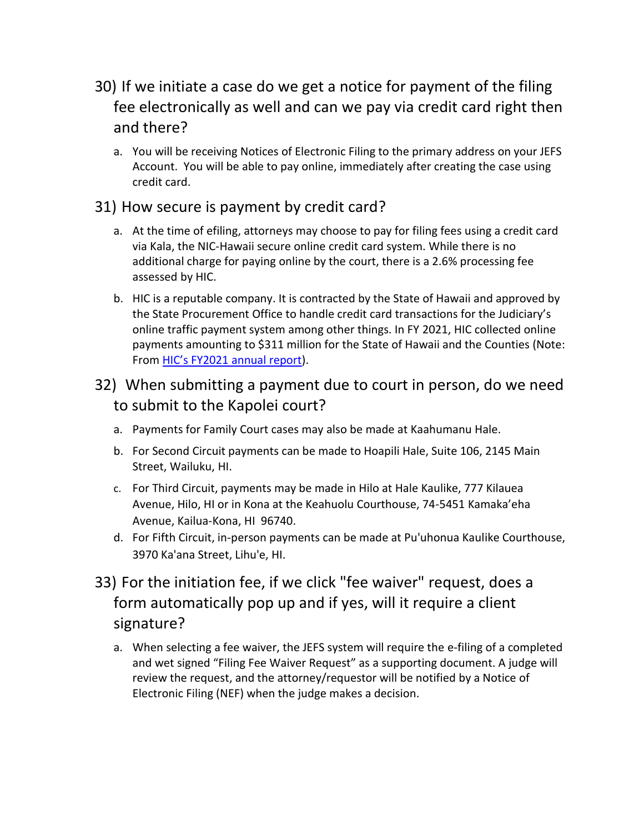# 30) If we initiate a case do we get a notice for payment of the filing fee electronically as well and can we pay via credit card right then and there?

a. You will be receiving Notices of Electronic Filing to the primary address on your JEFS Account. You will be able to pay online, immediately after creating the case using credit card.

#### 31) How secure is payment by credit card?

- a. At the time of efiling, attorneys may choose to pay for filing fees using a credit card via Kala, the NIC-Hawaii secure online credit card system. While there is no additional charge for paying online by the court, there is a 2.6% processing fee assessed by HIC.
- b. HIC is a reputable company. It is contracted by the State of Hawaii and approved by the State Procurement Office to handle credit card transactions for the Judiciary's online traffic payment system among other things. In FY 2021, HIC collected online payments amounting to \$311 million for the State of Hawaii and the Counties (Note: From HIC's [FY2021 annual report\)](https://nichawaii.egov.com/wp-content/uploads/NIC-Annual-Report-FY2021.pdf).
- 32) When submitting a payment due to court in person, do we need to submit to the Kapolei court?
	- a. Payments for Family Court cases may also be made at Kaahumanu Hale.
	- b. For Second Circuit payments can be made to Hoapili Hale, Suite 106, 2145 Main Street, Wailuku, HI.
	- c. For Third Circuit, payments may be made in Hilo at Hale Kaulike, 777 Kilauea Avenue, Hilo, HI or in Kona at the Keahuolu Courthouse, 74-5451 Kamaka'eha Avenue, Kailua-Kona, HI 96740.
	- d. For Fifth Circuit, in-person payments can be made at Pu'uhonua Kaulike Courthouse, 3970 Ka'ana Street, Lihu'e, HI.
- 33) For the initiation fee, if we click "fee waiver" request, does a form automatically pop up and if yes, will it require a client signature?
	- a. When selecting a fee waiver, the JEFS system will require the e-filing of a completed and wet signed "Filing Fee Waiver Request" as a supporting document. A judge will review the request, and the attorney/requestor will be notified by a Notice of Electronic Filing (NEF) when the judge makes a decision.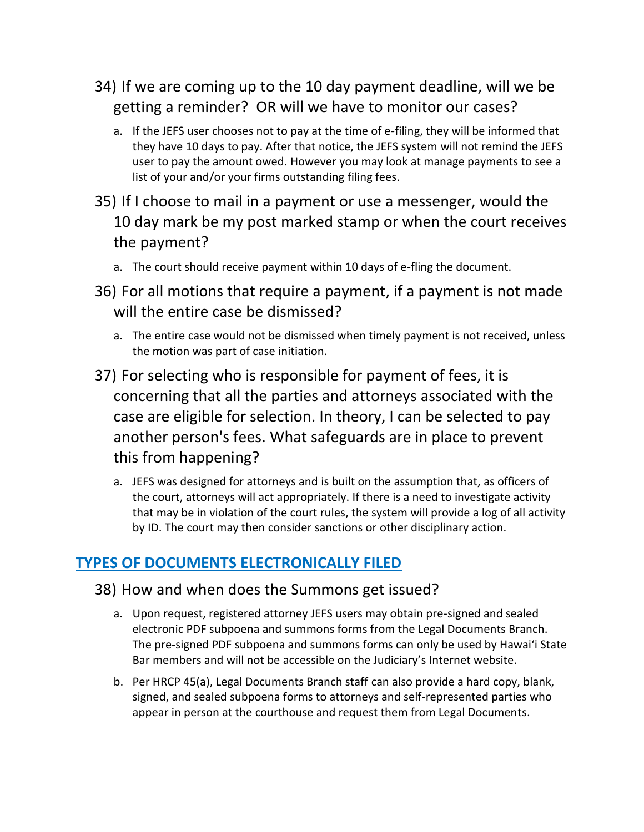- 34) If we are coming up to the 10 day payment deadline, will we be getting a reminder? OR will we have to monitor our cases?
	- a. If the JEFS user chooses not to pay at the time of e-filing, they will be informed that they have 10 days to pay. After that notice, the JEFS system will not remind the JEFS user to pay the amount owed. However you may look at manage payments to see a list of your and/or your firms outstanding filing fees.
- 35) If I choose to mail in a payment or use a messenger, would the 10 day mark be my post marked stamp or when the court receives the payment?
	- a. The court should receive payment within 10 days of e-fling the document.
- 36) For all motions that require a payment, if a payment is not made will the entire case be dismissed?
	- a. The entire case would not be dismissed when timely payment is not received, unless the motion was part of case initiation.
- 37) For selecting who is responsible for payment of fees, it is concerning that all the parties and attorneys associated with the case are eligible for selection. In theory, I can be selected to pay another person's fees. What safeguards are in place to prevent this from happening?
	- a. JEFS was designed for attorneys and is built on the assumption that, as officers of the court, attorneys will act appropriately. If there is a need to investigate activity that may be in violation of the court rules, the system will provide a log of all activity by ID. The court may then consider sanctions or other disciplinary action.

### **TYPES OF DOCUMENTS ELECTRONICALLY FILED**

#### 38) How and when does the Summons get issued?

- a. Upon request, registered attorney JEFS users may obtain pre-signed and sealed electronic PDF subpoena and summons forms from the Legal Documents Branch. The pre-signed PDF subpoena and summons forms can only be used by Hawai'i State Bar members and will not be accessible on the Judiciary's Internet website.
- b. Per HRCP 45(a), Legal Documents Branch staff can also provide a hard copy, blank, signed, and sealed subpoena forms to attorneys and self-represented parties who appear in person at the courthouse and request them from Legal Documents.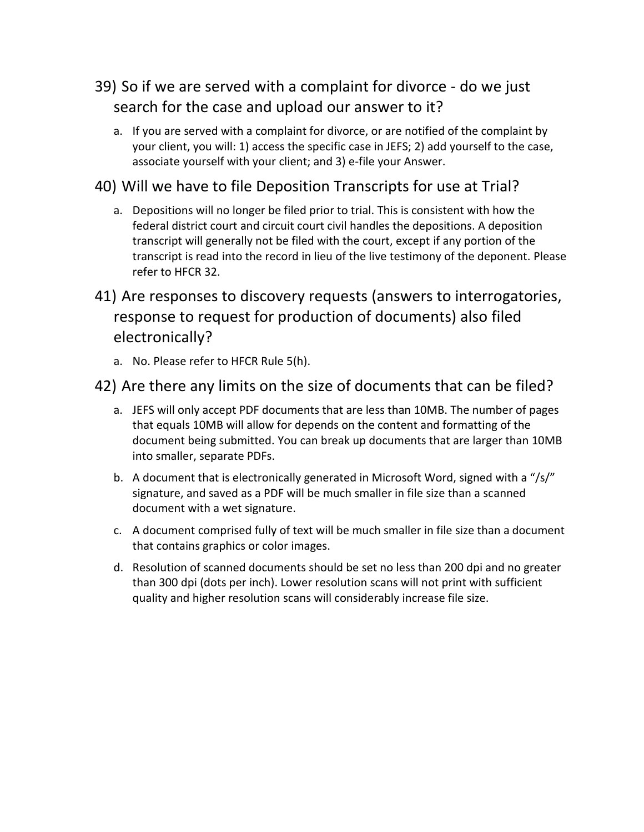### 39) So if we are served with a complaint for divorce - do we just search for the case and upload our answer to it?

a. If you are served with a complaint for divorce, or are notified of the complaint by your client, you will: 1) access the specific case in JEFS; 2) add yourself to the case, associate yourself with your client; and 3) e-file your Answer.

#### 40) Will we have to file Deposition Transcripts for use at Trial?

- a. Depositions will no longer be filed prior to trial. This is consistent with how the federal district court and circuit court civil handles the depositions. A deposition transcript will generally not be filed with the court, except if any portion of the transcript is read into the record in lieu of the live testimony of the deponent. Please refer to HFCR 32.
- 41) Are responses to discovery requests (answers to interrogatories, response to request for production of documents) also filed electronically?
	- a. No. Please refer to HFCR Rule 5(h).

#### 42) Are there any limits on the size of documents that can be filed?

- a. JEFS will only accept PDF documents that are less than 10MB. The number of pages that equals 10MB will allow for depends on the content and formatting of the document being submitted. You can break up documents that are larger than 10MB into smaller, separate PDFs.
- b. A document that is electronically generated in Microsoft Word, signed with a "/s/" signature, and saved as a PDF will be much smaller in file size than a scanned document with a wet signature.
- c. A document comprised fully of text will be much smaller in file size than a document that contains graphics or color images.
- d. Resolution of scanned documents should be set no less than 200 dpi and no greater than 300 dpi (dots per inch). Lower resolution scans will not print with sufficient quality and higher resolution scans will considerably increase file size.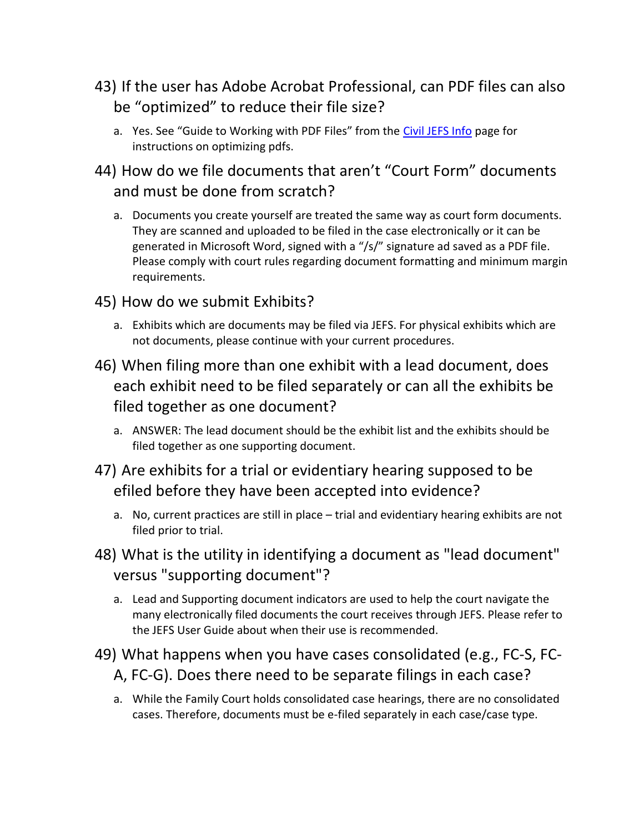- 43) If the user has Adobe Acrobat Professional, can PDF files can also be "optimized" to reduce their file size?
	- a. Yes. See "Guide to Working with PDF Files" from the [Civil JEFS Info](https://www.courts.state.hi.us/civiljefsinfo) page for instructions on optimizing pdfs.
- 44) How do we file documents that aren't "Court Form" documents and must be done from scratch?
	- a. Documents you create yourself are treated the same way as court form documents. They are scanned and uploaded to be filed in the case electronically or it can be generated in Microsoft Word, signed with a "/s/" signature ad saved as a PDF file. Please comply with court rules regarding document formatting and minimum margin requirements.
- 45) How do we submit Exhibits?
	- a. Exhibits which are documents may be filed via JEFS. For physical exhibits which are not documents, please continue with your current procedures.
- 46) When filing more than one exhibit with a lead document, does each exhibit need to be filed separately or can all the exhibits be filed together as one document?
	- a. ANSWER: The lead document should be the exhibit list and the exhibits should be filed together as one supporting document.
- 47) Are exhibits for a trial or evidentiary hearing supposed to be efiled before they have been accepted into evidence?
	- a. No, current practices are still in place trial and evidentiary hearing exhibits are not filed prior to trial.
- 48) What is the utility in identifying a document as "lead document" versus "supporting document"?
	- a. Lead and Supporting document indicators are used to help the court navigate the many electronically filed documents the court receives through JEFS. Please refer to the JEFS User Guide about when their use is recommended.
- 49) What happens when you have cases consolidated (e.g., FC-S, FC-A, FC-G). Does there need to be separate filings in each case?
	- a. While the Family Court holds consolidated case hearings, there are no consolidated cases. Therefore, documents must be e-filed separately in each case/case type.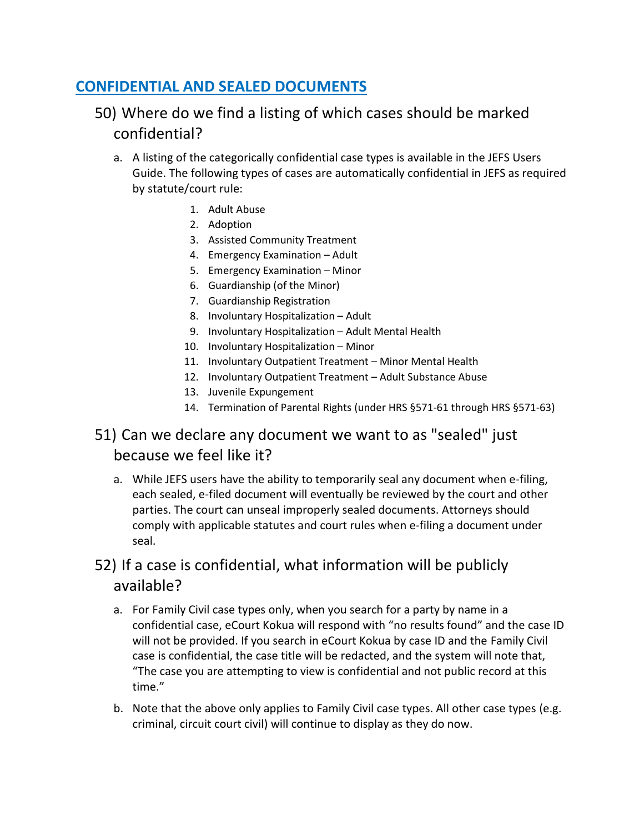#### **CONFIDENTIAL AND SEALED DOCUMENTS**

### 50) Where do we find a listing of which cases should be marked confidential?

- a. A listing of the categorically confidential case types is available in the JEFS Users Guide. The following types of cases are automatically confidential in JEFS as required by statute/court rule:
	- 1. Adult Abuse
	- 2. Adoption
	- 3. Assisted Community Treatment
	- 4. Emergency Examination Adult
	- 5. Emergency Examination Minor
	- 6. Guardianship (of the Minor)
	- 7. Guardianship Registration
	- 8. Involuntary Hospitalization Adult
	- 9. Involuntary Hospitalization Adult Mental Health
	- 10. Involuntary Hospitalization Minor
	- 11. Involuntary Outpatient Treatment Minor Mental Health
	- 12. Involuntary Outpatient Treatment Adult Substance Abuse
	- 13. Juvenile Expungement
	- 14. Termination of Parental Rights (under HRS §571-61 through HRS §571-63)

### 51) Can we declare any document we want to as "sealed" just because we feel like it?

a. While JEFS users have the ability to temporarily seal any document when e-filing, each sealed, e-filed document will eventually be reviewed by the court and other parties. The court can unseal improperly sealed documents. Attorneys should comply with applicable statutes and court rules when e-filing a document under seal.

### 52) If a case is confidential, what information will be publicly available?

- a. For Family Civil case types only, when you search for a party by name in a confidential case, eCourt Kokua will respond with "no results found" and the case ID will not be provided. If you search in eCourt Kokua by case ID and the Family Civil case is confidential, the case title will be redacted, and the system will note that, "The case you are attempting to view is confidential and not public record at this time."
- b. Note that the above only applies to Family Civil case types. All other case types (e.g. criminal, circuit court civil) will continue to display as they do now.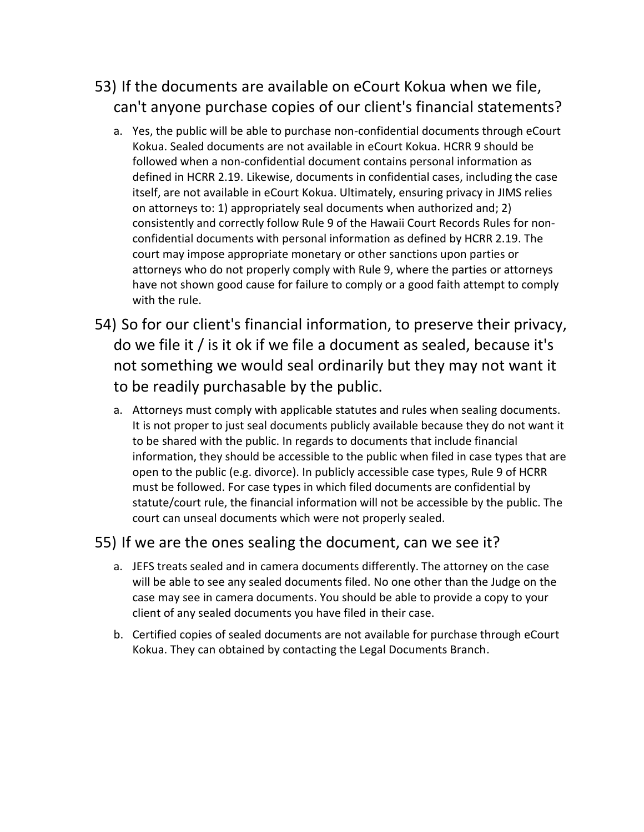# 53) If the documents are available on eCourt Kokua when we file, can't anyone purchase copies of our client's financial statements?

- a. Yes, the public will be able to purchase non-confidential documents through eCourt Kokua. Sealed documents are not available in eCourt Kokua. HCRR 9 should be followed when a non-confidential document contains personal information as defined in HCRR 2.19. Likewise, documents in confidential cases, including the case itself, are not available in eCourt Kokua. Ultimately, ensuring privacy in JIMS relies on attorneys to: 1) appropriately seal documents when authorized and; 2) consistently and correctly follow Rule 9 of the Hawaii Court Records Rules for nonconfidential documents with personal information as defined by HCRR 2.19. The court may impose appropriate monetary or other sanctions upon parties or attorneys who do not properly comply with Rule 9, where the parties or attorneys have not shown good cause for failure to comply or a good faith attempt to comply with the rule.
- 54) So for our client's financial information, to preserve their privacy, do we file it / is it ok if we file a document as sealed, because it's not something we would seal ordinarily but they may not want it to be readily purchasable by the public.
	- a. Attorneys must comply with applicable statutes and rules when sealing documents. It is not proper to just seal documents publicly available because they do not want it to be shared with the public. In regards to documents that include financial information, they should be accessible to the public when filed in case types that are open to the public (e.g. divorce). In publicly accessible case types, Rule 9 of HCRR must be followed. For case types in which filed documents are confidential by statute/court rule, the financial information will not be accessible by the public. The court can unseal documents which were not properly sealed.

#### 55) If we are the ones sealing the document, can we see it?

- a. JEFS treats sealed and in camera documents differently. The attorney on the case will be able to see any sealed documents filed. No one other than the Judge on the case may see in camera documents. You should be able to provide a copy to your client of any sealed documents you have filed in their case.
- b. Certified copies of sealed documents are not available for purchase through eCourt Kokua. They can obtained by contacting the Legal Documents Branch.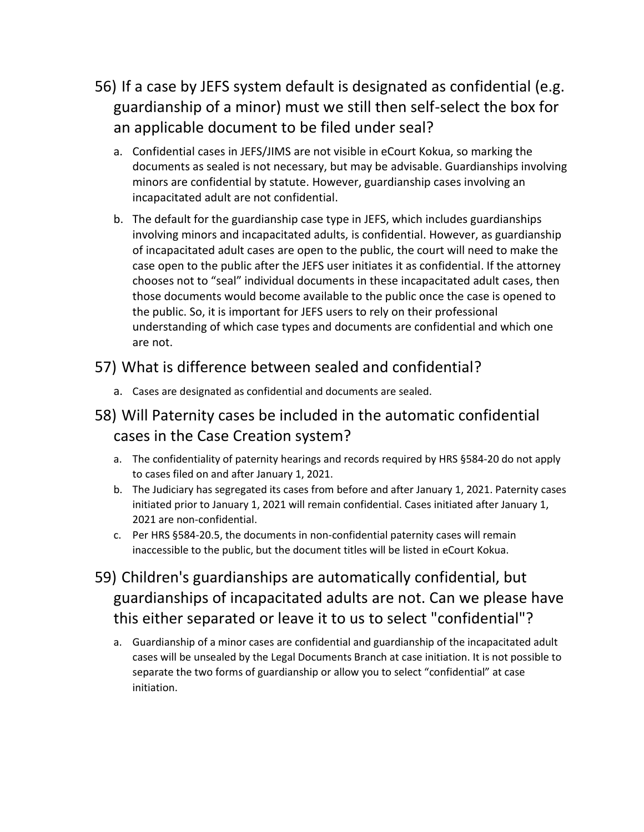- 56) If a case by JEFS system default is designated as confidential (e.g. guardianship of a minor) must we still then self-select the box for an applicable document to be filed under seal?
	- a. Confidential cases in JEFS/JIMS are not visible in eCourt Kokua, so marking the documents as sealed is not necessary, but may be advisable. Guardianships involving minors are confidential by statute. However, guardianship cases involving an incapacitated adult are not confidential.
	- b. The default for the guardianship case type in JEFS, which includes guardianships involving minors and incapacitated adults, is confidential. However, as guardianship of incapacitated adult cases are open to the public, the court will need to make the case open to the public after the JEFS user initiates it as confidential. If the attorney chooses not to "seal" individual documents in these incapacitated adult cases, then those documents would become available to the public once the case is opened to the public. So, it is important for JEFS users to rely on their professional understanding of which case types and documents are confidential and which one are not.

#### 57) What is difference between sealed and confidential?

a. Cases are designated as confidential and documents are sealed.

### 58) Will Paternity cases be included in the automatic confidential cases in the Case Creation system?

- a. The confidentiality of paternity hearings and records required by HRS §584-20 do not apply to cases filed on and after January 1, 2021.
- b. The Judiciary has segregated its cases from before and after January 1, 2021. Paternity cases initiated prior to January 1, 2021 will remain confidential. Cases initiated after January 1, 2021 are non-confidential.
- c. Per HRS §584-20.5, the documents in non-confidential paternity cases will remain inaccessible to the public, but the document titles will be listed in eCourt Kokua.
- 59) Children's guardianships are automatically confidential, but guardianships of incapacitated adults are not. Can we please have this either separated or leave it to us to select "confidential"?
	- a. Guardianship of a minor cases are confidential and guardianship of the incapacitated adult cases will be unsealed by the Legal Documents Branch at case initiation. It is not possible to separate the two forms of guardianship or allow you to select "confidential" at case initiation.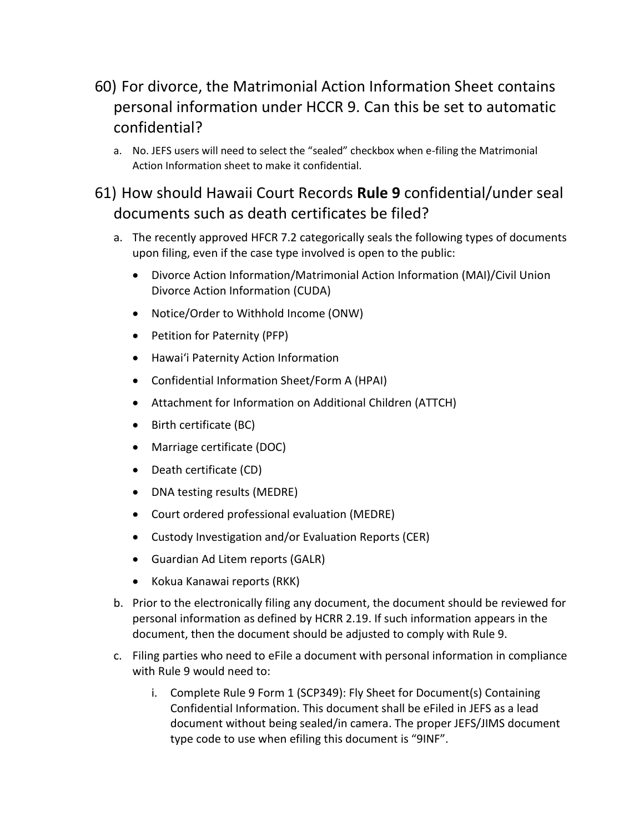# 60) For divorce, the Matrimonial Action Information Sheet contains personal information under HCCR 9. Can this be set to automatic confidential?

a. No. JEFS users will need to select the "sealed" checkbox when e-filing the Matrimonial Action Information sheet to make it confidential.

### 61) How should Hawaii Court Records **Rule 9** confidential/under seal documents such as death certificates be filed?

- a. The recently approved HFCR 7.2 categorically seals the following types of documents upon filing, even if the case type involved is open to the public:
	- Divorce Action Information/Matrimonial Action Information (MAI)/Civil Union Divorce Action Information (CUDA)
	- Notice/Order to Withhold Income (ONW)
	- Petition for Paternity (PFP)
	- Hawai'i Paternity Action Information
	- Confidential Information Sheet/Form A (HPAI)
	- Attachment for Information on Additional Children (ATTCH)
	- Birth certificate (BC)
	- Marriage certificate (DOC)
	- Death certificate (CD)
	- DNA testing results (MEDRE)
	- Court ordered professional evaluation (MEDRE)
	- Custody Investigation and/or Evaluation Reports (CER)
	- Guardian Ad Litem reports (GALR)
	- Kokua Kanawai reports (RKK)
- b. Prior to the electronically filing any document, the document should be reviewed for personal information as defined by HCRR 2.19. If such information appears in the document, then the document should be adjusted to comply with Rule 9.
- c. Filing parties who need to eFile a document with personal information in compliance with Rule 9 would need to:
	- i. [Complete Rule 9 Form 1](http://www.courts.state.hi.us/self-help/courts/forms/oahu/record_rules_forms) (SCP349): Fly Sheet for Document(s) Containing Confidential Information. This document shall be eFiled in JEFS as a lead document without being sealed/in camera. The proper JEFS/JIMS document type code to use when efiling this document is "9INF".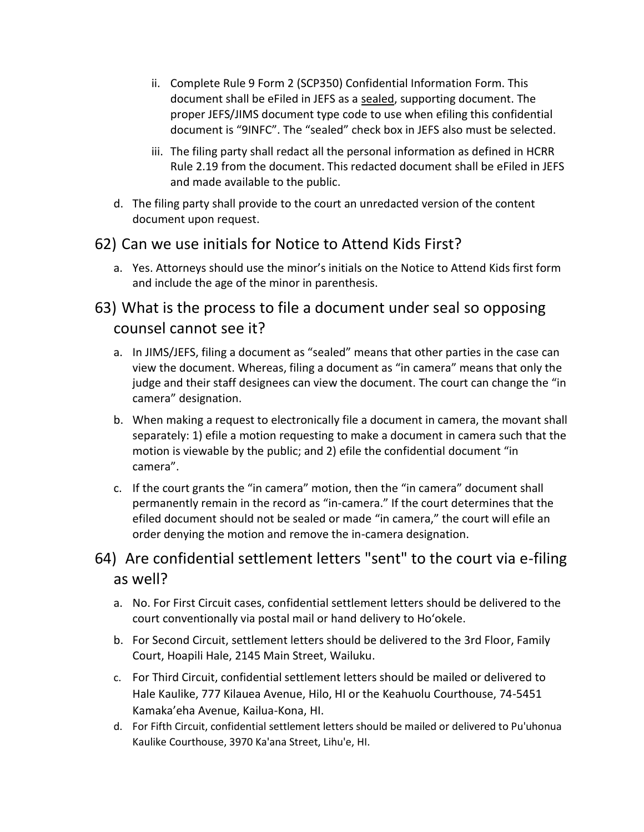- ii. [Complete Rule 9 Form 2](http://www.courts.state.hi.us/self-help/courts/forms/oahu/record_rules_forms) (SCP350) Confidential Information Form. This document shall be eFiled in JEFS as a sealed, supporting document. The proper JEFS/JIMS document type code to use when efiling this confidential document is "9INFC". The "sealed" check box in JEFS also must be selected.
- iii. The filing party shall redact all the personal information as defined in [HCRR](http://www.courts.state.hi.us/docs/court_rules/rules/hcrr.htm#2.1)  [Rule 2.19](http://www.courts.state.hi.us/docs/court_rules/rules/hcrr.htm#2.1) from the document. This redacted document shall be eFiled in JEFS and made available to the public.
- d. The filing party shall provide to the court an unredacted version of the content document upon request.

#### 62) Can we use initials for Notice to Attend Kids First?

a. Yes. Attorneys should use the minor's initials on the Notice to Attend Kids first form and include the age of the minor in parenthesis.

### 63) What is the process to file a document under seal so opposing counsel cannot see it?

- a. In JIMS/JEFS, filing a document as "sealed" means that other parties in the case can view the document. Whereas, filing a document as "in camera" means that only the judge and their staff designees can view the document. The court can change the "in camera" designation.
- b. When making a request to electronically file a document in camera, the movant shall separately: 1) efile a motion requesting to make a document in camera such that the motion is viewable by the public; and 2) efile the confidential document "in camera".
- c. If the court grants the "in camera" motion, then the "in camera" document shall permanently remain in the record as "in-camera." If the court determines that the efiled document should not be sealed or made "in camera," the court will efile an order denying the motion and remove the in-camera designation.

### 64) Are confidential settlement letters "sent" to the court via e-filing as well?

- a. No. For First Circuit cases, confidential settlement letters should be delivered to the court conventionally via postal mail or hand delivery to Ho'okele.
- b. For Second Circuit, settlement letters should be delivered to the 3rd Floor, Family Court, Hoapili Hale, 2145 Main Street, Wailuku.
- c. For Third Circuit, confidential settlement letters should be mailed or delivered to Hale Kaulike, 777 Kilauea Avenue, Hilo, HI or the Keahuolu Courthouse, 74-5451 Kamaka'eha Avenue, Kailua-Kona, HI.
- d. For Fifth Circuit, confidential settlement letters should be mailed or delivered to Pu'uhonua Kaulike Courthouse, 3970 Ka'ana Street, Lihu'e, HI.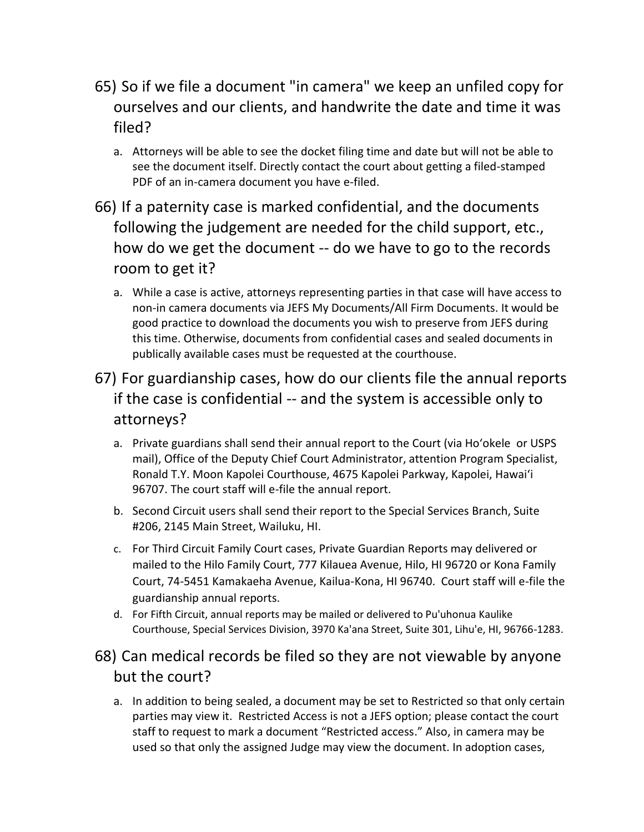- 65) So if we file a document "in camera" we keep an unfiled copy for ourselves and our clients, and handwrite the date and time it was filed?
	- a. Attorneys will be able to see the docket filing time and date but will not be able to see the document itself. Directly contact the court about getting a filed-stamped PDF of an in-camera document you have e-filed.
- 66) If a paternity case is marked confidential, and the documents following the judgement are needed for the child support, etc., how do we get the document -- do we have to go to the records room to get it?
	- a. While a case is active, attorneys representing parties in that case will have access to non-in camera documents via JEFS My Documents/All Firm Documents. It would be good practice to download the documents you wish to preserve from JEFS during this time. Otherwise, documents from confidential cases and sealed documents in publically available cases must be requested at the courthouse.
- 67) For guardianship cases, how do our clients file the annual reports if the case is confidential -- and the system is accessible only to attorneys?
	- a. Private guardians shall send their annual report to the Court (via Ho'okele or USPS mail), Office of the Deputy Chief Court Administrator, attention Program Specialist, Ronald T.Y. Moon Kapolei Courthouse, 4675 Kapolei Parkway, Kapolei, Hawai'i 96707. The court staff will e-file the annual report.
	- b. Second Circuit users shall send their report to the Special Services Branch, Suite #206, 2145 Main Street, Wailuku, HI.
	- c. For Third Circuit Family Court cases, Private Guardian Reports may delivered or mailed to the Hilo Family Court, 777 Kilauea Avenue, Hilo, HI 96720 or Kona Family Court, 74-5451 Kamakaeha Avenue, Kailua-Kona, HI 96740. Court staff will e-file the guardianship annual reports.
	- d. For Fifth Circuit, annual reports may be mailed or delivered to Pu'uhonua Kaulike Courthouse, Special Services Division, 3970 Ka'ana Street, Suite 301, Lihu'e, HI, 96766-1283.

### 68) Can medical records be filed so they are not viewable by anyone but the court?

a. In addition to being sealed, a document may be set to Restricted so that only certain parties may view it. Restricted Access is not a JEFS option; please contact the court staff to request to mark a document "Restricted access." Also, in camera may be used so that only the assigned Judge may view the document. In adoption cases,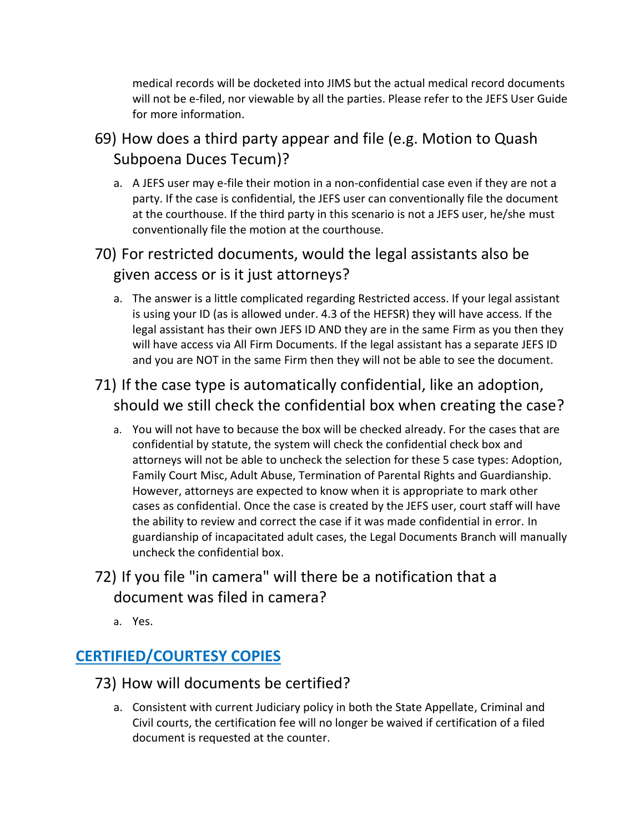medical records will be docketed into JIMS but the actual medical record documents will not be e-filed, nor viewable by all the parties. Please refer to the JEFS User Guide for more information.

69) How does a third party appear and file (e.g. Motion to Quash Subpoena Duces Tecum)?

a. A JEFS user may e-file their motion in a non-confidential case even if they are not a party. If the case is confidential, the JEFS user can conventionally file the document at the courthouse. If the third party in this scenario is not a JEFS user, he/she must conventionally file the motion at the courthouse.

### 70) For restricted documents, would the legal assistants also be given access or is it just attorneys?

a. The answer is a little complicated regarding Restricted access. If your legal assistant is using your ID (as is allowed under. 4.3 of the HEFSR) they will have access. If the legal assistant has their own JEFS ID AND they are in the same Firm as you then they will have access via All Firm Documents. If the legal assistant has a separate JEFS ID and you are NOT in the same Firm then they will not be able to see the document.

# 71) If the case type is automatically confidential, like an adoption, should we still check the confidential box when creating the case?

a. You will not have to because the box will be checked already. For the cases that are confidential by statute, the system will check the confidential check box and attorneys will not be able to uncheck the selection for these 5 case types: Adoption, Family Court Misc, Adult Abuse, Termination of Parental Rights and Guardianship. However, attorneys are expected to know when it is appropriate to mark other cases as confidential. Once the case is created by the JEFS user, court staff will have the ability to review and correct the case if it was made confidential in error. In guardianship of incapacitated adult cases, the Legal Documents Branch will manually uncheck the confidential box.

### 72) If you file "in camera" will there be a notification that a document was filed in camera?

a. Yes.

# **CERTIFIED/COURTESY COPIES**

- 73) How will documents be certified?
	- a. Consistent with current Judiciary policy in both the State Appellate, Criminal and Civil courts, the certification fee will no longer be waived if certification of a filed document is requested at the counter.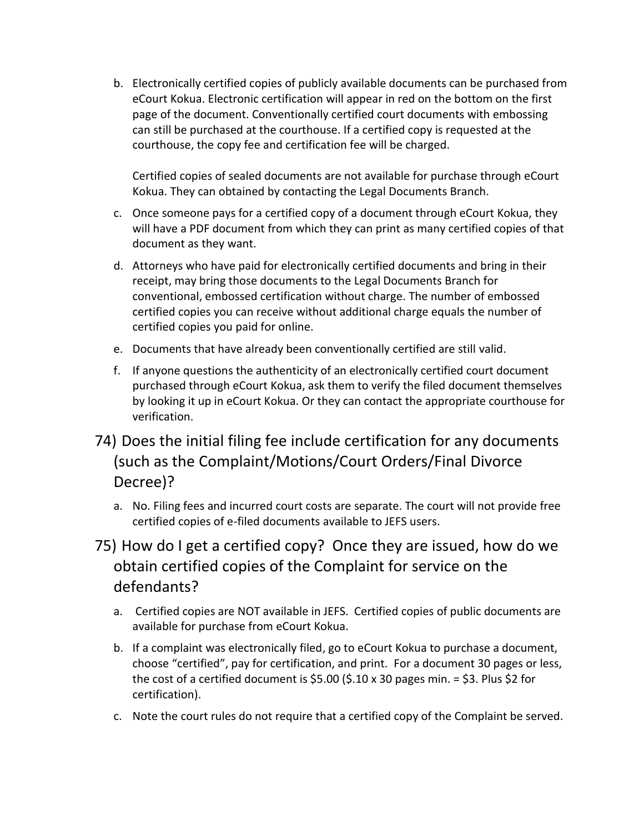b. Electronically certified copies of publicly available documents can be purchased from eCourt Kokua. Electronic certification will appear in red on the bottom on the first page of the document. Conventionally certified court documents with embossing can still be purchased at the courthouse. If a certified copy is requested at the courthouse, the copy fee and certification fee will be charged.

Certified copies of sealed documents are not available for purchase through eCourt Kokua. They can obtained by contacting the Legal Documents Branch.

- c. Once someone pays for a certified copy of a document through eCourt Kokua, they will have a PDF document from which they can print as many certified copies of that document as they want.
- d. Attorneys who have paid for electronically certified documents and bring in their receipt, may bring those documents to the Legal Documents Branch for conventional, embossed certification without charge. The number of embossed certified copies you can receive without additional charge equals the number of certified copies you paid for online.
- e. Documents that have already been conventionally certified are still valid.
- f. If anyone questions the authenticity of an electronically certified court document purchased through eCourt Kokua, ask them to verify the filed document themselves by looking it up in eCourt Kokua. Or they can contact the appropriate courthouse for verification.
- 74) Does the initial filing fee include certification for any documents (such as the Complaint/Motions/Court Orders/Final Divorce Decree)?
	- a. No. Filing fees and incurred court costs are separate. The court will not provide free certified copies of e-filed documents available to JEFS users.
- 75) How do I get a certified copy? Once they are issued, how do we obtain certified copies of the Complaint for service on the defendants?
	- a. Certified copies are NOT available in JEFS. Certified copies of public documents are available for purchase from eCourt Kokua.
	- b. If a complaint was electronically filed, go to eCourt Kokua to purchase a document, choose "certified", pay for certification, and print. For a document 30 pages or less, the cost of a certified document is  $$5.00$  ( $$.10 \times 30$  pages min. =  $$3.$  Plus  $$2$  for certification).
	- c. Note the court rules do not require that a certified copy of the Complaint be served.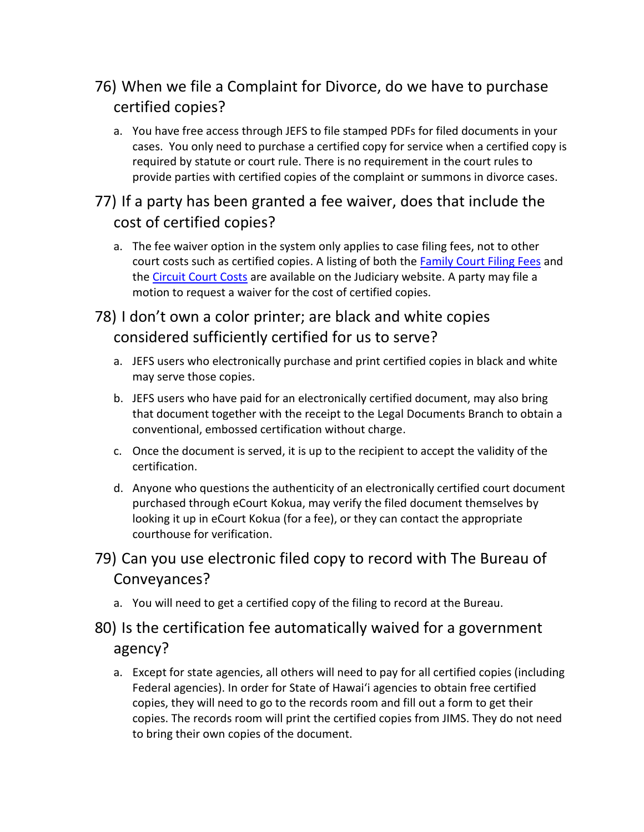# 76) When we file a Complaint for Divorce, do we have to purchase certified copies?

a. You have free access through JEFS to file stamped PDFs for filed documents in your cases. You only need to purchase a certified copy for service when a certified copy is required by statute or court rule. There is no requirement in the court rules to provide parties with certified copies of the complaint or summons in divorce cases.

### 77) If a party has been granted a fee waiver, does that include the cost of certified copies?

a. The fee waiver option in the system only applies to case filing fees, not to other court costs such as certified copies. A listing of both the **Family Court Filing Fees** and the [Circuit Court Costs](https://www.courts.state.hi.us/docs/courts_docs/Circuit_Court_Filing_Fees.pdf) are available on the Judiciary website. A party may file a motion to request a waiver for the cost of certified copies.

### 78) I don't own a color printer; are black and white copies considered sufficiently certified for us to serve?

- a. JEFS users who electronically purchase and print certified copies in black and white may serve those copies.
- b. JEFS users who have paid for an electronically certified document, may also bring that document together with the receipt to the Legal Documents Branch to obtain a conventional, embossed certification without charge.
- c. Once the document is served, it is up to the recipient to accept the validity of the certification.
- d. Anyone who questions the authenticity of an electronically certified court document purchased through eCourt Kokua, may verify the filed document themselves by looking it up in eCourt Kokua (for a fee), or they can contact the appropriate courthouse for verification.

### 79) Can you use electronic filed copy to record with The Bureau of Conveyances?

a. You will need to get a certified copy of the filing to record at the Bureau.

### 80) Is the certification fee automatically waived for a government agency?

a. Except for state agencies, all others will need to pay for all certified copies (including Federal agencies). In order for State of Hawai'i agencies to obtain free certified copies, they will need to go to the records room and fill out a form to get their copies. The records room will print the certified copies from JIMS. They do not need to bring their own copies of the document.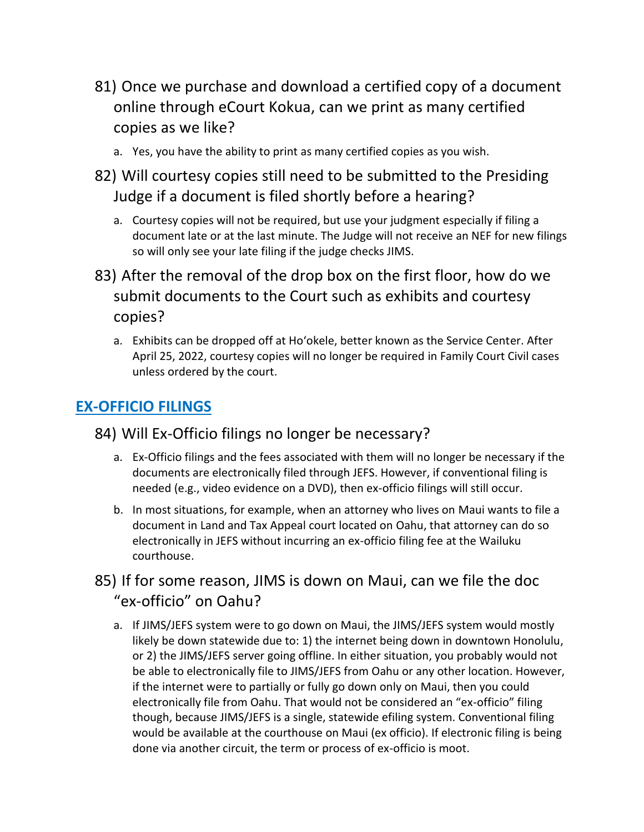- 81) Once we purchase and download a certified copy of a document online through eCourt Kokua, can we print as many certified copies as we like?
	- a. Yes, you have the ability to print as many certified copies as you wish.
- 82) Will courtesy copies still need to be submitted to the Presiding Judge if a document is filed shortly before a hearing?
	- a. Courtesy copies will not be required, but use your judgment especially if filing a document late or at the last minute. The Judge will not receive an NEF for new filings so will only see your late filing if the judge checks JIMS.
- 83) After the removal of the drop box on the first floor, how do we submit documents to the Court such as exhibits and courtesy copies?
	- a. Exhibits can be dropped off at Ho'okele, better known as the Service Center. After April 25, 2022, courtesy copies will no longer be required in Family Court Civil cases unless ordered by the court.

#### **EX-OFFICIO FILINGS**

#### 84) Will Ex-Officio filings no longer be necessary?

- a. Ex-Officio filings and the fees associated with them will no longer be necessary if the documents are electronically filed through JEFS. However, if conventional filing is needed (e.g., video evidence on a DVD), then ex-officio filings will still occur.
- b. In most situations, for example, when an attorney who lives on Maui wants to file a document in Land and Tax Appeal court located on Oahu, that attorney can do so electronically in JEFS without incurring an ex-officio filing fee at the Wailuku courthouse.

### 85) If for some reason, JIMS is down on Maui, can we file the doc "ex-officio" on Oahu?

a. If JIMS/JEFS system were to go down on Maui, the JIMS/JEFS system would mostly likely be down statewide due to: 1) the internet being down in downtown Honolulu, or 2) the JIMS/JEFS server going offline. In either situation, you probably would not be able to electronically file to JIMS/JEFS from Oahu or any other location. However, if the internet were to partially or fully go down only on Maui, then you could electronically file from Oahu. That would not be considered an "ex-officio" filing though, because JIMS/JEFS is a single, statewide efiling system. Conventional filing would be available at the courthouse on Maui (ex officio). If electronic filing is being done via another circuit, the term or process of ex-officio is moot.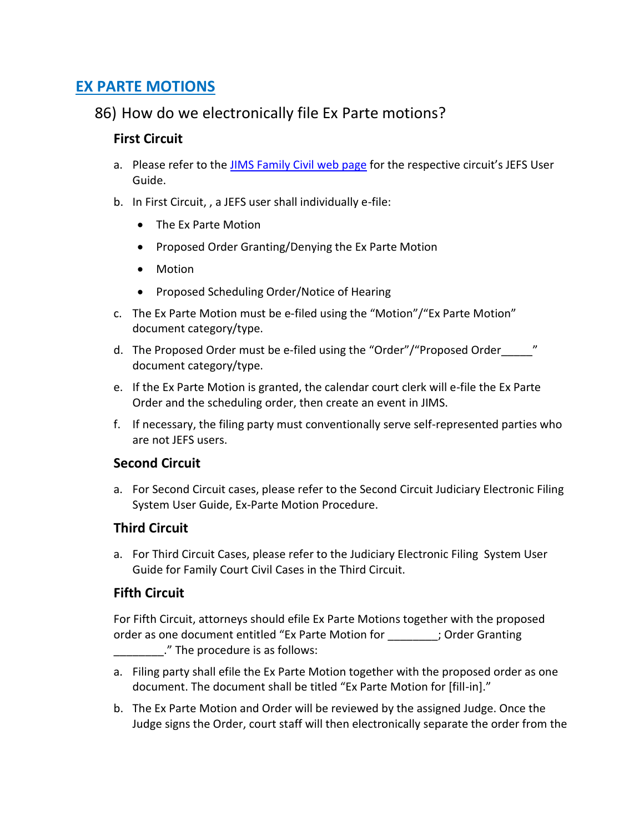#### **EX PARTE MOTIONS**

#### 86) How do we electronically file Ex Parte motions?

#### **First Circuit**

- a. Please refer to the [JIMS Family Civil web page](https://gcc02.safelinks.protection.outlook.com/?url=https%3A%2F%2Fwww.courts.state.hi.us%2Ffamily-court-civil-jefs-info-page&data=04%7C01%7Cmark.m.santoki%40courts.hawaii.gov%7Ce46ca208dff94fd6554208d9fd7eac0e%7C3f369bd64c534c1596eefc84b0851f6f%7C0%7C0%7C637819542765185369%7CUnknown%7CTWFpbGZsb3d8eyJWIjoiMC4wLjAwMDAiLCJQIjoiV2luMzIiLCJBTiI6Ik1haWwiLCJXVCI6Mn0%3D%7C3000&sdata=Hqt%2B4zwtLf7pn5%2FiqMQ%2FnmHqBw4kmFq26GKg0a0AELg%3D&reserved=0) for the respective circuit's JEFS User Guide.
- b. In First Circuit, , a JEFS user shall individually e-file:
	- The Ex Parte Motion
	- Proposed Order Granting/Denying the Ex Parte Motion
	- Motion
	- Proposed Scheduling Order/Notice of Hearing
- c. The Ex Parte Motion must be e-filed using the "Motion"/"Ex Parte Motion" document category/type.
- d. The Proposed Order must be e-filed using the "Order"/"Proposed Order " document category/type.
- e. If the Ex Parte Motion is granted, the calendar court clerk will e-file the Ex Parte Order and the scheduling order, then create an event in JIMS.
- f. If necessary, the filing party must conventionally serve self-represented parties who are not JEFS users.

#### **Second Circuit**

a. For Second Circuit cases, please refer to the Second Circuit Judiciary Electronic Filing System User Guide, Ex-Parte Motion Procedure.

#### **Third Circuit**

a. For Third Circuit Cases, please refer to the Judiciary Electronic Filing System User Guide for Family Court Civil Cases in the Third Circuit.

#### **Fifth Circuit**

For Fifth Circuit, attorneys should efile Ex Parte Motions together with the proposed order as one document entitled "Ex Parte Motion for \_\_\_\_\_\_\_\_; Order Granting \_\_\_\_\_\_\_\_." The procedure is as follows:

- a. Filing party shall efile the Ex Parte Motion together with the proposed order as one document. The document shall be titled "Ex Parte Motion for [fill-in]."
- b. The Ex Parte Motion and Order will be reviewed by the assigned Judge. Once the Judge signs the Order, court staff will then electronically separate the order from the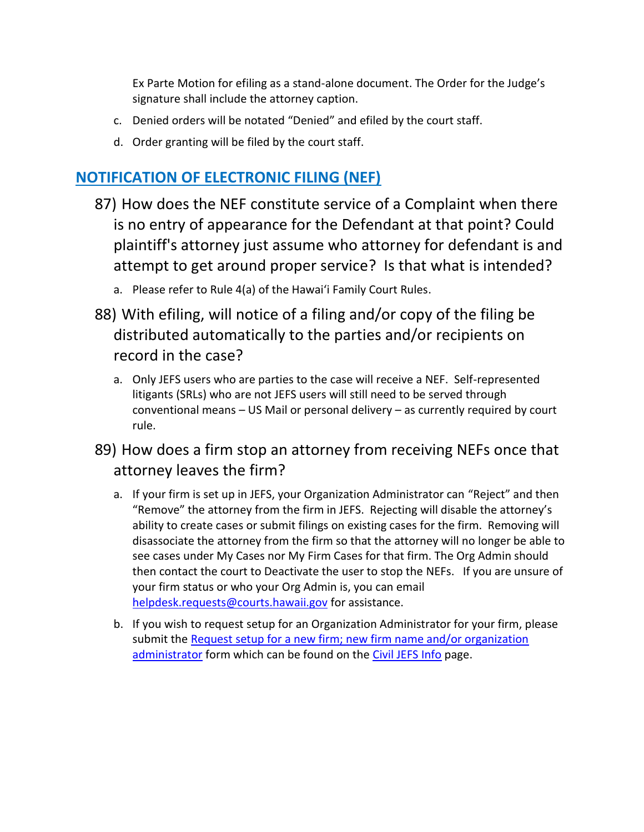Ex Parte Motion for efiling as a stand-alone document. The Order for the Judge's signature shall include the attorney caption.

- c. Denied orders will be notated "Denied" and efiled by the court staff.
- d. Order granting will be filed by the court staff.

### **NOTIFICATION OF ELECTRONIC FILING (NEF)**

- 87) How does the NEF constitute service of a Complaint when there is no entry of appearance for the Defendant at that point? Could plaintiff's attorney just assume who attorney for defendant is and attempt to get around proper service? Is that what is intended?
	- a. Please refer to Rule 4(a) of the Hawai'i Family Court Rules.
- 88) With efiling, will notice of a filing and/or copy of the filing be distributed automatically to the parties and/or recipients on record in the case?
	- a. Only JEFS users who are parties to the case will receive a NEF. Self-represented litigants (SRLs) who are not JEFS users will still need to be served through conventional means – US Mail or personal delivery – as currently required by court rule.
- 89) How does a firm stop an attorney from receiving NEFs once that attorney leaves the firm?
	- a. If your firm is set up in JEFS, your Organization Administrator can "Reject" and then "Remove" the attorney from the firm in JEFS. Rejecting will disable the attorney's ability to create cases or submit filings on existing cases for the firm. Removing will disassociate the attorney from the firm so that the attorney will no longer be able to see cases under My Cases nor My Firm Cases for that firm. The Org Admin should then contact the court to Deactivate the user to stop the NEFs. If you are unsure of your firm status or who your Org Admin is, you can email [helpdesk.requests@courts.hawaii.gov](mailto:helpdesk.requests@courts.hawaii.gov) for assistance.
	- b. If you wish to request setup for an Organization Administrator for your firm, please submit the [Request setup for a new firm; new firm name and/or organization](https://www.courts.state.hi.us/wp-content/uploads/2019/08/JEFS-Org-Admin-Form-2019.pdf)  [administrator](https://www.courts.state.hi.us/wp-content/uploads/2019/08/JEFS-Org-Admin-Form-2019.pdf) form which can be found on the [Civil JEFS Info](https://www.courts.state.hi.us/civiljefsinfo) page.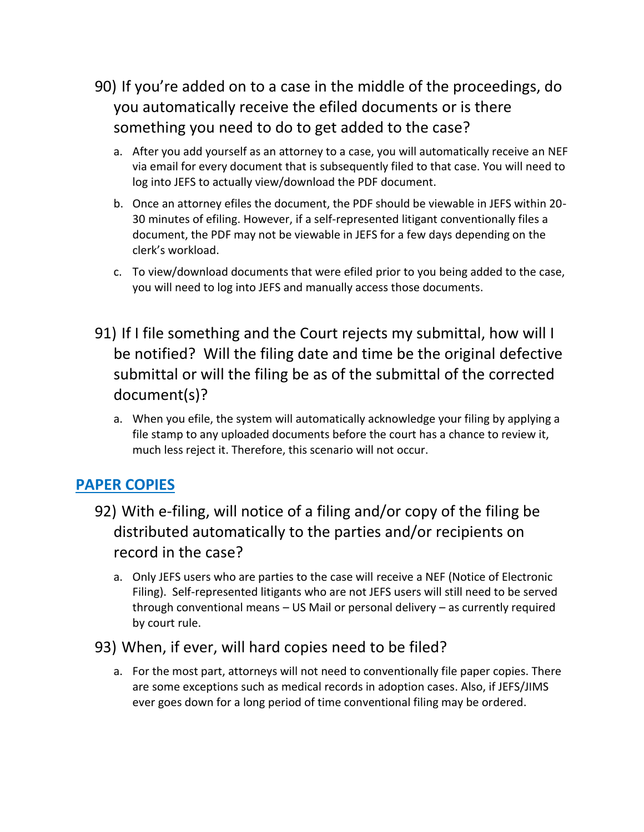- 90) If you're added on to a case in the middle of the proceedings, do you automatically receive the efiled documents or is there something you need to do to get added to the case?
	- a. After you add yourself as an attorney to a case, you will automatically receive an NEF via email for every document that is subsequently filed to that case. You will need to log into JEFS to actually view/download the PDF document.
	- b. Once an attorney efiles the document, the PDF should be viewable in JEFS within 20- 30 minutes of efiling. However, if a self-represented litigant conventionally files a document, the PDF may not be viewable in JEFS for a few days depending on the clerk's workload.
	- c. To view/download documents that were efiled prior to you being added to the case, you will need to log into JEFS and manually access those documents.
- 91) If I file something and the Court rejects my submittal, how will I be notified? Will the filing date and time be the original defective submittal or will the filing be as of the submittal of the corrected document(s)?
	- a. When you efile, the system will automatically acknowledge your filing by applying a file stamp to any uploaded documents before the court has a chance to review it, much less reject it. Therefore, this scenario will not occur.

### **PAPER COPIES**

- 92) With e-filing, will notice of a filing and/or copy of the filing be distributed automatically to the parties and/or recipients on record in the case?
	- a. Only JEFS users who are parties to the case will receive a NEF (Notice of Electronic Filing). Self-represented litigants who are not JEFS users will still need to be served through conventional means – US Mail or personal delivery – as currently required by court rule.
- 93) When, if ever, will hard copies need to be filed?
	- a. For the most part, attorneys will not need to conventionally file paper copies. There are some exceptions such as medical records in adoption cases. Also, if JEFS/JIMS ever goes down for a long period of time conventional filing may be ordered.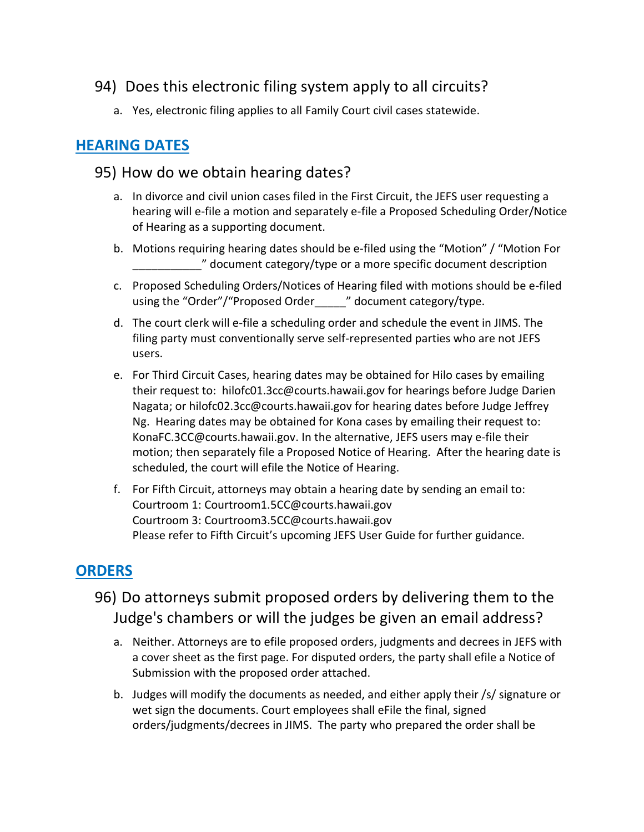### 94) Does this electronic filing system apply to all circuits?

a. Yes, electronic filing applies to all Family Court civil cases statewide.

### **HEARING DATES**

#### 95) How do we obtain hearing dates?

- a. In divorce and civil union cases filed in the First Circuit, the JEFS user requesting a hearing will e-file a motion and separately e-file a Proposed Scheduling Order/Notice of Hearing as a supporting document.
- b. Motions requiring hearing dates should be e-filed using the "Motion" / "Motion For \_\_\_\_\_\_\_\_\_\_\_" document category/type or a more specific document description
- c. Proposed Scheduling Orders/Notices of Hearing filed with motions should be e-filed using the "Order"/"Proposed Order The " document category/type.
- d. The court clerk will e-file a scheduling order and schedule the event in JIMS. The filing party must conventionally serve self-represented parties who are not JEFS users.
- e. For Third Circuit Cases, hearing dates may be obtained for Hilo cases by emailing their request to: hilofc01.3cc@courts.hawaii.gov for hearings before Judge Darien Nagata; or hilofc02.3cc@courts.hawaii.gov for hearing dates before Judge Jeffrey Ng. Hearing dates may be obtained for Kona cases by emailing their request to: KonaFC.3CC@courts.hawaii.gov. In the alternative, JEFS users may e-file their motion; then separately file a Proposed Notice of Hearing. After the hearing date is scheduled, the court will efile the Notice of Hearing.
- f. For Fifth Circuit, attorneys may obtain a hearing date by sending an email to: Courtroom 1: Courtroom1.5CC@courts.hawaii.gov Courtroom 3: Courtroom3.5CC@courts.hawaii.gov Please refer to Fifth Circuit's upcoming JEFS User Guide for further guidance.

### **ORDERS**

- 96) Do attorneys submit proposed orders by delivering them to the Judge's chambers or will the judges be given an email address?
	- a. Neither. Attorneys are to efile proposed orders, judgments and decrees in JEFS with a cover sheet as the first page. For disputed orders, the party shall efile a Notice of Submission with the proposed order attached.
	- b. Judges will modify the documents as needed, and either apply their /s/ signature or wet sign the documents. Court employees shall eFile the final, signed orders/judgments/decrees in JIMS. The party who prepared the order shall be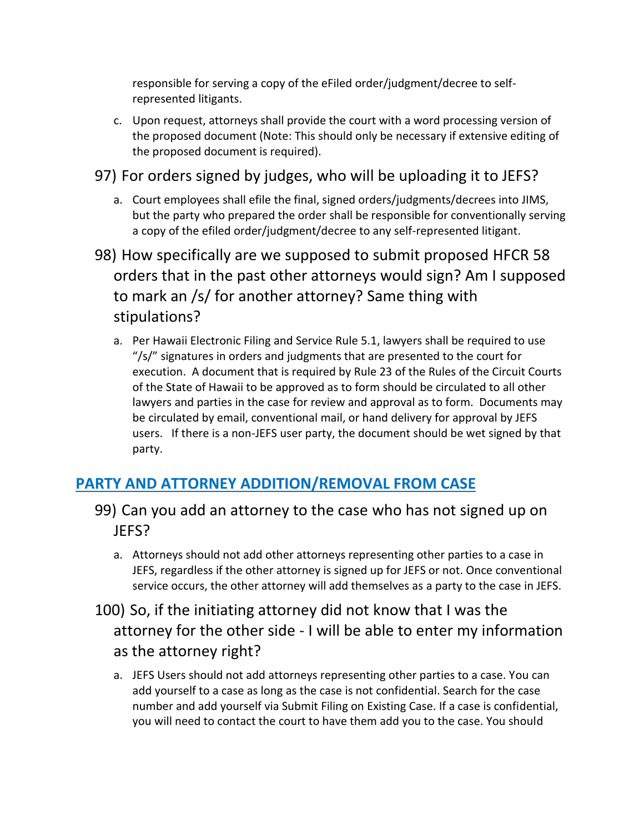responsible for serving a copy of the eFiled order/judgment/decree to selfrepresented litigants.

- c. Upon request, attorneys shall provide the court with a word processing version of the proposed document (Note: This should only be necessary if extensive editing of the proposed document is required).
- 97) For orders signed by judges, who will be uploading it to JEFS?
	- a. Court employees shall efile the final, signed orders/judgments/decrees into JIMS, but the party who prepared the order shall be responsible for conventionally serving a copy of the efiled order/judgment/decree to any self-represented litigant.
- 98) How specifically are we supposed to submit proposed HFCR 58 orders that in the past other attorneys would sign? Am I supposed to mark an /s/ for another attorney? Same thing with stipulations?
	- a. Per [Hawaii Electronic Filing and Service Rule 5.1,](http://www.courts.state.hi.us/docs/court_rules/rules/hefsr.htm#Rule_5) lawyers shall be required to use "/s/" signatures in orders and judgments that are presented to the court for execution. A document that is required by Rule 23 of the Rules of the Circuit Courts of the State of Hawaii to be approved as to form should be circulated to all other lawyers and parties in the case for review and approval as to form. Documents may be circulated by email, conventional mail, or hand delivery for approval by JEFS users. If there is a non-JEFS user party, the document should be wet signed by that party.

# **PARTY AND ATTORNEY ADDITION/REMOVAL FROM CASE**

- 99) Can you add an attorney to the case who has not signed up on JEFS?
	- a. Attorneys should not add other attorneys representing other parties to a case in JEFS, regardless if the other attorney is signed up for JEFS or not. Once conventional service occurs, the other attorney will add themselves as a party to the case in JEFS.
- 100) So, if the initiating attorney did not know that I was the attorney for the other side - I will be able to enter my information as the attorney right?
	- a. JEFS Users should not add attorneys representing other parties to a case. You can add yourself to a case as long as the case is not confidential. Search for the case number and add yourself via Submit Filing on Existing Case. If a case is confidential, you will need to contact the court to have them add you to the case. You should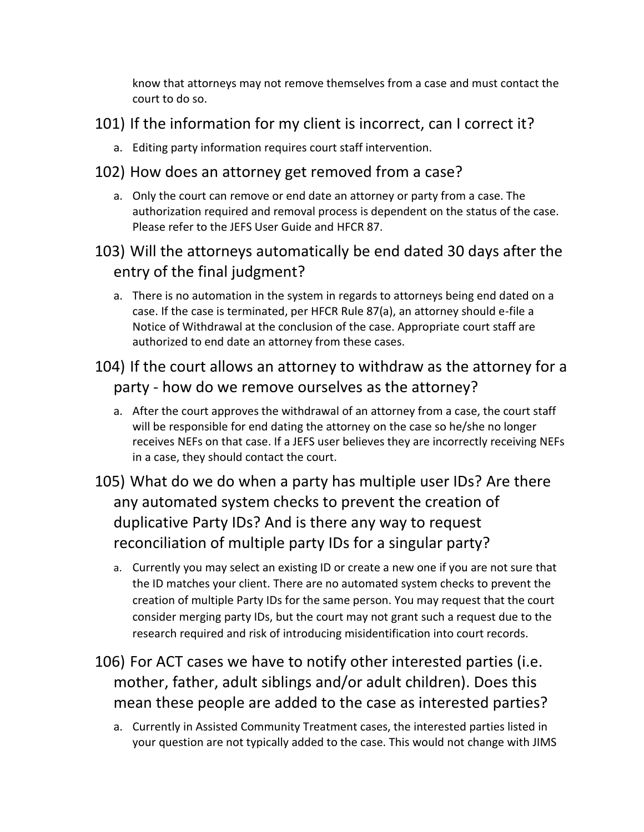know that attorneys may not remove themselves from a case and must contact the court to do so.

### 101) If the information for my client is incorrect, can I correct it?

a. Editing party information requires court staff intervention.

### 102) How does an attorney get removed from a case?

- a. Only the court can remove or end date an attorney or party from a case. The authorization required and removal process is dependent on the status of the case. Please refer to the JEFS User Guide and HFCR 87.
- 103) Will the attorneys automatically be end dated 30 days after the entry of the final judgment?
	- a. There is no automation in the system in regards to attorneys being end dated on a case. If the case is terminated, per HFCR Rule 87(a), an attorney should e-file a Notice of Withdrawal at the conclusion of the case. Appropriate court staff are authorized to end date an attorney from these cases.

### 104) If the court allows an attorney to withdraw as the attorney for a party - how do we remove ourselves as the attorney?

- a. After the court approves the withdrawal of an attorney from a case, the court staff will be responsible for end dating the attorney on the case so he/she no longer receives NEFs on that case. If a JEFS user believes they are incorrectly receiving NEFs in a case, they should contact the court.
- 105) What do we do when a party has multiple user IDs? Are there any automated system checks to prevent the creation of duplicative Party IDs? And is there any way to request reconciliation of multiple party IDs for a singular party?
	- a. Currently you may select an existing ID or create a new one if you are not sure that the ID matches your client. There are no automated system checks to prevent the creation of multiple Party IDs for the same person. You may request that the court consider merging party IDs, but the court may not grant such a request due to the research required and risk of introducing misidentification into court records.
- 106) For ACT cases we have to notify other interested parties (i.e. mother, father, adult siblings and/or adult children). Does this mean these people are added to the case as interested parties?
	- a. Currently in Assisted Community Treatment cases, the interested parties listed in your question are not typically added to the case. This would not change with JIMS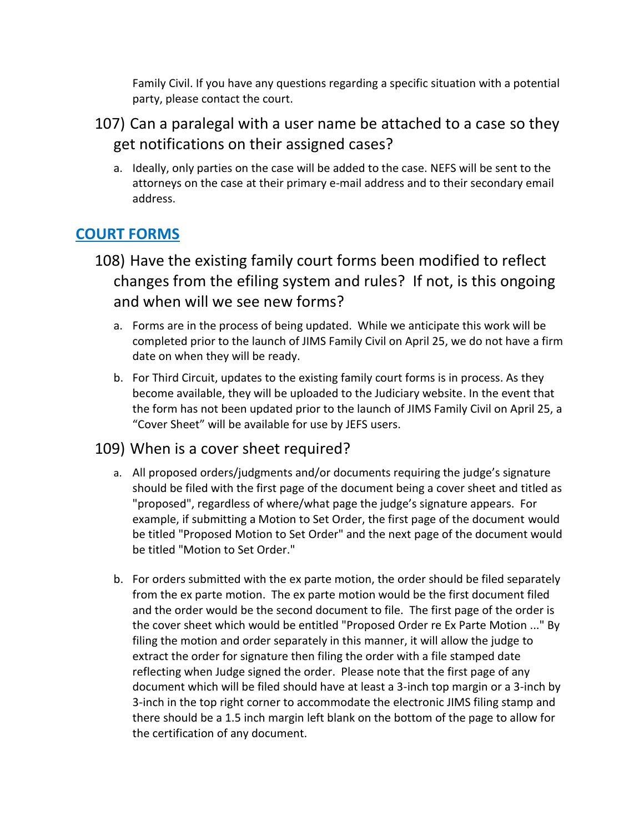Family Civil. If you have any questions regarding a specific situation with a potential party, please contact the court.

- 107) Can a paralegal with a user name be attached to a case so they get notifications on their assigned cases?
	- a. Ideally, only parties on the case will be added to the case. NEFS will be sent to the attorneys on the case at their primary e-mail address and to their secondary email address.

### **COURT FORMS**

- 108) Have the existing family court forms been modified to reflect changes from the efiling system and rules? If not, is this ongoing and when will we see new forms?
	- a. Forms are in the process of being updated. While we anticipate this work will be completed prior to the launch of JIMS Family Civil on April 25, we do not have a firm date on when they will be ready.
	- b. For Third Circuit, updates to the existing family court forms is in process. As they become available, they will be uploaded to the Judiciary website. In the event that the form has not been updated prior to the launch of JIMS Family Civil on April 25, a "Cover Sheet" will be available for use by JEFS users.

#### 109) When is a cover sheet required?

- a. All proposed orders/judgments and/or documents requiring the judge's signature should be filed with the first page of the document being a cover sheet and titled as "proposed", regardless of where/what page the judge's signature appears. For example, if submitting a Motion to Set Order, the first page of the document would be titled "Proposed Motion to Set Order" and the next page of the document would be titled "Motion to Set Order."
- b. For orders submitted with the ex parte motion, the order should be filed separately from the ex parte motion. The ex parte motion would be the first document filed and the order would be the second document to file. The first page of the order is the cover sheet which would be entitled "Proposed Order re Ex Parte Motion ..." By filing the motion and order separately in this manner, it will allow the judge to extract the order for signature then filing the order with a file stamped date reflecting when Judge signed the order. Please note that the first page of any document which will be filed should have at least a 3-inch top margin or a 3-inch by 3-inch in the top right corner to accommodate the electronic JIMS filing stamp and there should be a 1.5 inch margin left blank on the bottom of the page to allow for the certification of any document.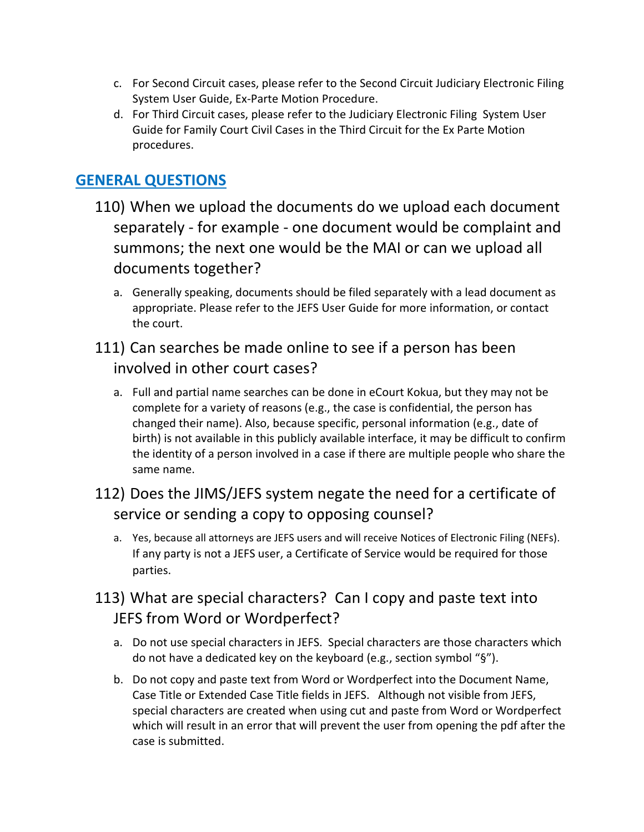- c. For Second Circuit cases, please refer to the Second Circuit Judiciary Electronic Filing System User Guide, Ex-Parte Motion Procedure.
- d. For Third Circuit cases, please refer to the Judiciary Electronic Filing System User Guide for Family Court Civil Cases in the Third Circuit for the Ex Parte Motion procedures.

### **GENERAL QUESTIONS**

- 110) When we upload the documents do we upload each document separately - for example - one document would be complaint and summons; the next one would be the MAI or can we upload all documents together?
	- a. Generally speaking, documents should be filed separately with a lead document as appropriate. Please refer to the JEFS User Guide for more information, or contact the court.

### 111) Can searches be made online to see if a person has been involved in other court cases?

a. Full and partial name searches can be done in eCourt Kokua, but they may not be complete for a variety of reasons (e.g., the case is confidential, the person has changed their name). Also, because specific, personal information (e.g., date of birth) is not available in this publicly available interface, it may be difficult to confirm the identity of a person involved in a case if there are multiple people who share the same name.

# 112) Does the JIMS/JEFS system negate the need for a certificate of service or sending a copy to opposing counsel?

a. Yes, because all attorneys are JEFS users and will receive Notices of Electronic Filing (NEFs). If any party is not a JEFS user, a Certificate of Service would be required for those parties.

### 113) What are special characters? Can I copy and paste text into JEFS from Word or Wordperfect?

- a. Do not use special characters in JEFS. Special characters are those characters which do not have a dedicated key on the keyboard (e.g., section symbol "§").
- b. Do not copy and paste text from Word or Wordperfect into the Document Name, Case Title or Extended Case Title fields in JEFS. Although not visible from JEFS, special characters are created when using cut and paste from Word or Wordperfect which will result in an error that will prevent the user from opening the pdf after the case is submitted.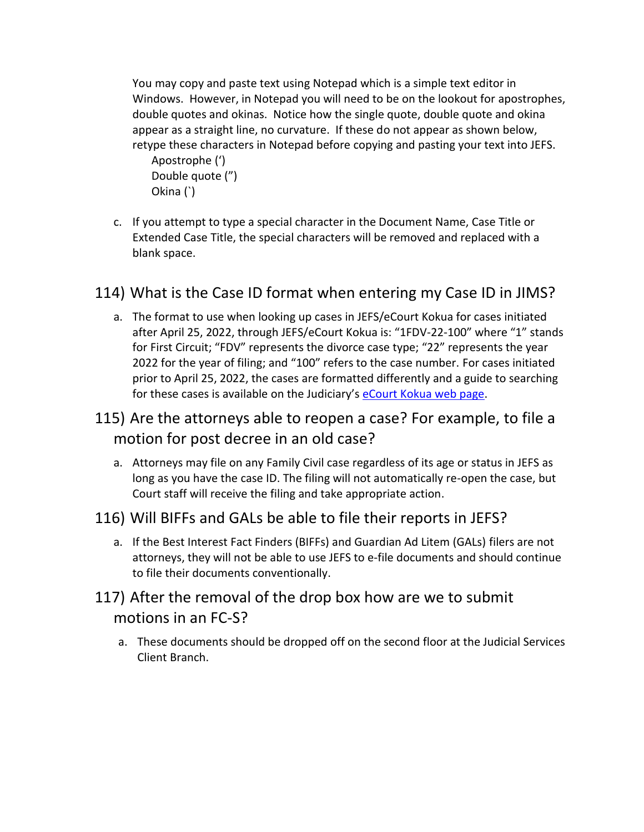You may copy and paste text using Notepad which is a simple text editor in Windows. However, in Notepad you will need to be on the lookout for apostrophes, double quotes and okinas. Notice how the single quote, double quote and okina appear as a straight line, no curvature. If these do not appear as shown below, retype these characters in Notepad before copying and pasting your text into JEFS.

Apostrophe (') Double quote (") Okina (`)

c. If you attempt to type a special character in the Document Name, Case Title or Extended Case Title, the special characters will be removed and replaced with a blank space.

### 114) What is the Case ID format when entering my Case ID in JIMS?

- a. The format to use when looking up cases in JEFS/eCourt Kokua for cases initiated after April 25, 2022, through JEFS/eCourt Kokua is: "1FDV-22-100" where "1" stands for First Circuit; "FDV" represents the divorce case type; "22" represents the year 2022 for the year of filing; and "100" refers to the case number. For cases initiated prior to April 25, 2022, the cases are formatted differently and a guide to searching for these cases is available on the Judiciary's [eCourt Kokua web page.](https://www.courts.state.hi.us/legal_references/records/jims_system_availability)
- 115) Are the attorneys able to reopen a case? For example, to file a motion for post decree in an old case?
	- a. Attorneys may file on any Family Civil case regardless of its age or status in JEFS as long as you have the case ID. The filing will not automatically re-open the case, but Court staff will receive the filing and take appropriate action.

#### 116) Will BIFFs and GALs be able to file their reports in JEFS?

a. If the Best Interest Fact Finders (BIFFs) and Guardian Ad Litem (GALs) filers are not attorneys, they will not be able to use JEFS to e-file documents and should continue to file their documents conventionally.

### 117) After the removal of the drop box how are we to submit motions in an FC-S?

a. These documents should be dropped off on the second floor at the Judicial Services Client Branch.